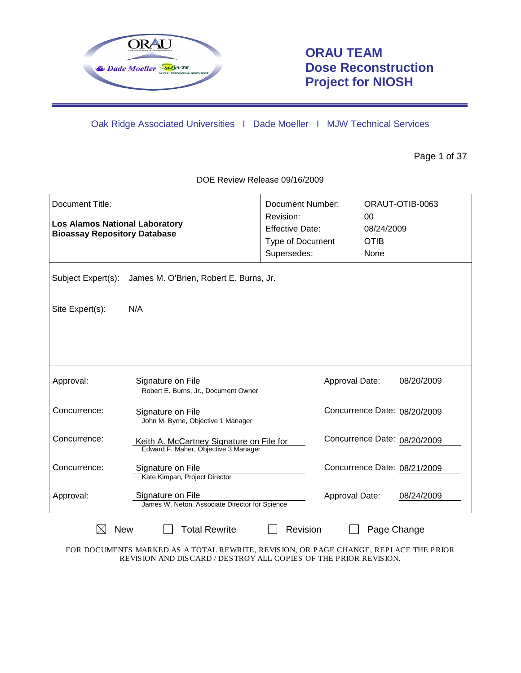

# **ORAU TEAM Dose Reconstruction Project for NIOSH**

Oak Ridge Associated Universities I Dade Moeller I MJW Technical Services

Page 1 of 37

| Document Title:<br><b>Los Alamos National Laboratory</b><br><b>Bioassay Repository Database</b> |                                                                                  | Document Number:<br>Revision:<br><b>Effective Date:</b><br>Type of Document<br>Supersedes: | 0 <sup>0</sup><br>08/24/2009<br><b>OTIB</b><br>None | ORAUT-OTIB-0063 |  |  |  |
|-------------------------------------------------------------------------------------------------|----------------------------------------------------------------------------------|--------------------------------------------------------------------------------------------|-----------------------------------------------------|-----------------|--|--|--|
| Subject Expert(s):<br>James M. O'Brien, Robert E. Burns, Jr.                                    |                                                                                  |                                                                                            |                                                     |                 |  |  |  |
| Site Expert(s):                                                                                 | N/A                                                                              |                                                                                            |                                                     |                 |  |  |  |
|                                                                                                 |                                                                                  |                                                                                            |                                                     |                 |  |  |  |
| Approval:                                                                                       | Signature on File<br>Robert E. Burns, Jr., Document Owner                        |                                                                                            | Approval Date:                                      | 08/20/2009      |  |  |  |
| Concurrence:                                                                                    | Signature on File<br>John M. Byrne, Objective 1 Manager                          |                                                                                            | Concurrence Date: 08/20/2009                        |                 |  |  |  |
| Concurrence:                                                                                    | Keith A. McCartney Signature on File for<br>Edward F. Maher, Objective 3 Manager |                                                                                            | Concurrence Date: 08/20/2009                        |                 |  |  |  |
| Concurrence:                                                                                    | Signature on File<br>Kate Kimpan, Project Director                               |                                                                                            | Concurrence Date: 08/21/2009                        |                 |  |  |  |
| Approval:                                                                                       | Signature on File<br>James W. Neton, Associate Director for Science              |                                                                                            | Approval Date:                                      | 08/24/2009      |  |  |  |
| <b>New</b>                                                                                      | <b>Total Rewrite</b>                                                             | Revision                                                                                   | Page Change                                         |                 |  |  |  |

DOE Review Release 09/16/2009

FOR DOCUMENTS MARKED AS A TOTAL REWRITE, REVISION, OR PAGE CHANGE, REPLACE THE PRIOR REVISION AND DISCARD / DESTROY ALL COPIES OF THE PRIOR REVISION.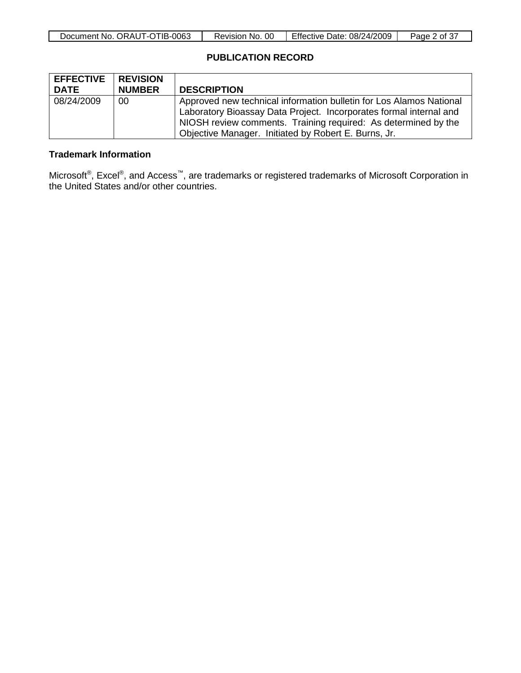| Document No. ORAUT-OTIB-0063 | 0C<br>Revision No. | <b>Effective Date: 08/24/2009</b> | Page<br>of $3/$ |
|------------------------------|--------------------|-----------------------------------|-----------------|

# **PUBLICATION RECORD**

| <b>EFFECTIVE</b> REVISION |               |                                                                     |
|---------------------------|---------------|---------------------------------------------------------------------|
| <b>DATE</b>               | <b>NUMBER</b> | <b>DESCRIPTION</b>                                                  |
| 08/24/2009                | 00            | Approved new technical information bulletin for Los Alamos National |
|                           |               | Laboratory Bioassay Data Project. Incorporates formal internal and  |
|                           |               | NIOSH review comments. Training required: As determined by the      |
|                           |               | Objective Manager. Initiated by Robert E. Burns, Jr.                |

### **Trademark Information**

Microsoft®, Excel®, and Access™, are trademarks or registered trademarks of Microsoft Corporation in the United States and/or other countries.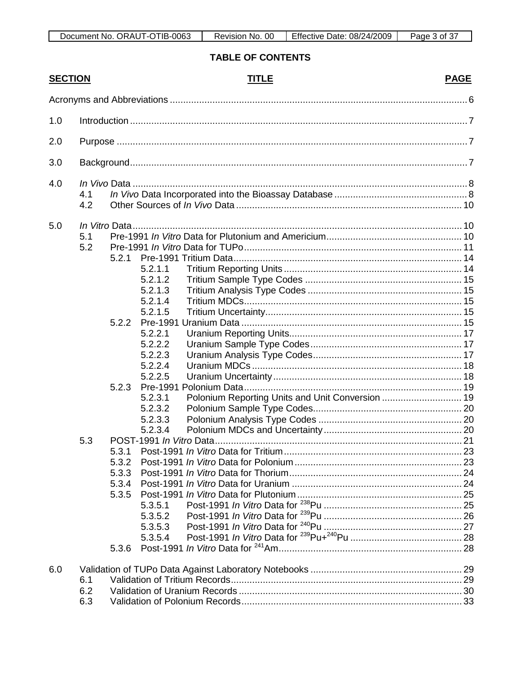TABLE OF CONTENTS

| <b>SECTION</b> |     |                |         | <b>TITLE</b> | <b>PAGE</b> |  |  |  |
|----------------|-----|----------------|---------|--------------|-------------|--|--|--|
|                |     |                |         |              |             |  |  |  |
| 1.0            |     |                |         |              |             |  |  |  |
| 2.0            |     |                |         |              |             |  |  |  |
|                |     |                |         |              |             |  |  |  |
| 3.0            |     |                |         |              |             |  |  |  |
| 4.0            |     |                |         |              |             |  |  |  |
|                | 4.1 |                |         |              |             |  |  |  |
|                | 4.2 |                |         |              |             |  |  |  |
| 5.0            |     |                |         |              |             |  |  |  |
|                | 5.1 |                |         |              |             |  |  |  |
|                | 5.2 |                |         |              |             |  |  |  |
|                |     | 5.2.1          |         |              |             |  |  |  |
|                |     |                | 5.2.1.1 |              |             |  |  |  |
|                |     |                | 5.2.1.2 |              |             |  |  |  |
|                |     |                | 5.2.1.3 |              |             |  |  |  |
|                |     |                | 5.2.1.4 |              |             |  |  |  |
|                |     |                | 5.2.1.5 |              |             |  |  |  |
|                |     | 5.2.2          |         |              |             |  |  |  |
|                |     |                | 5.2.2.1 |              |             |  |  |  |
|                |     |                | 5.2.2.2 |              |             |  |  |  |
|                |     |                | 5.2.2.3 |              |             |  |  |  |
|                |     |                | 5.2.2.4 |              |             |  |  |  |
|                |     |                | 5.2.2.5 |              |             |  |  |  |
|                |     | 5.2.3          |         |              |             |  |  |  |
|                |     |                | 5.2.3.1 |              |             |  |  |  |
|                |     |                | 5.2.3.2 |              |             |  |  |  |
|                |     |                | 5.2.3.3 |              |             |  |  |  |
|                |     |                | 5.2.3.4 |              |             |  |  |  |
|                | 5.3 |                |         |              |             |  |  |  |
|                |     | 5.3.1<br>5.3.2 |         |              |             |  |  |  |
|                |     | 5.3.3          |         |              |             |  |  |  |
|                |     | 5.3.4          |         |              |             |  |  |  |
|                |     | 5.3.5          |         |              |             |  |  |  |
|                |     |                | 5.3.5.1 |              |             |  |  |  |
|                |     |                | 5.3.5.2 |              |             |  |  |  |
|                |     |                | 5.3.5.3 |              |             |  |  |  |
|                |     |                | 5.3.5.4 |              |             |  |  |  |
|                |     | 5.3.6          |         |              |             |  |  |  |
|                |     |                |         |              |             |  |  |  |
| 6.0            |     |                |         |              |             |  |  |  |
|                | 6.1 |                |         |              |             |  |  |  |
|                | 6.2 |                |         |              |             |  |  |  |
|                | 6.3 |                |         |              |             |  |  |  |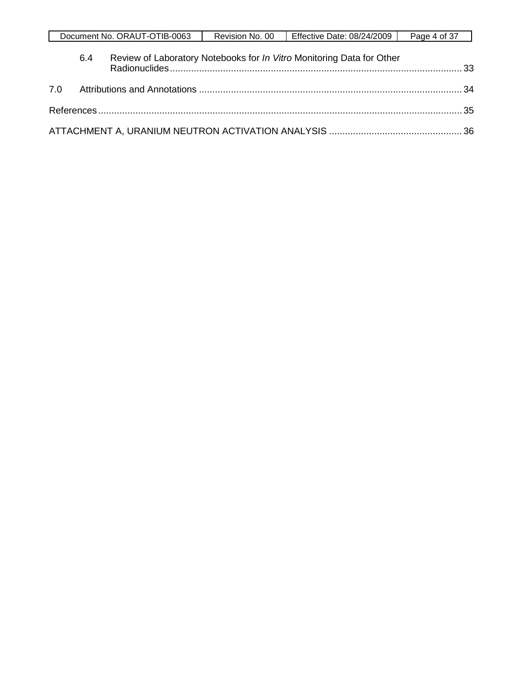|     |     | Document No. ORAUT-OTIB-0063 | Revision No. 00 | Effective Date: 08/24/2009                                            | Page 4 of 37 |
|-----|-----|------------------------------|-----------------|-----------------------------------------------------------------------|--------------|
|     | 6.4 |                              |                 | Review of Laboratory Notebooks for In Vitro Monitoring Data for Other |              |
| 7.0 |     |                              |                 |                                                                       |              |
|     |     |                              |                 |                                                                       |              |
|     |     |                              |                 |                                                                       |              |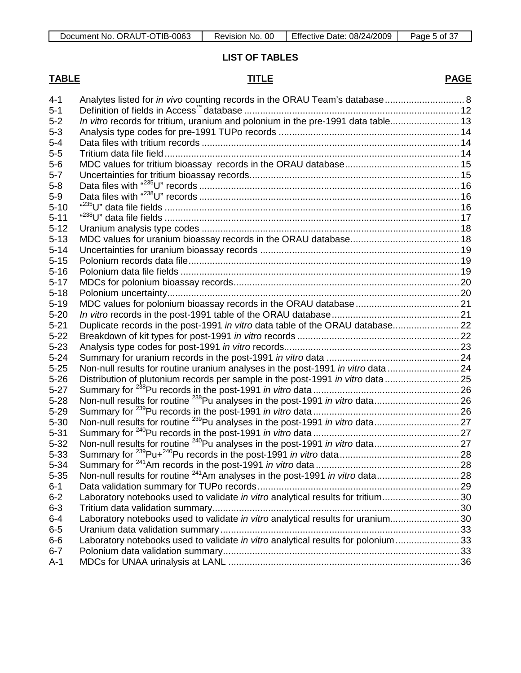**LIST OF TABLES**

# **TABLE TITLE**

# **PAGE**

| $4 - 1$  | Analytes listed for in vivo counting records in the ORAU Team's database 8        |  |
|----------|-----------------------------------------------------------------------------------|--|
| $5 - 1$  |                                                                                   |  |
| $5 - 2$  | In vitro records for tritium, uranium and polonium in the pre-1991 data table 13  |  |
| $5 - 3$  |                                                                                   |  |
| $5 - 4$  |                                                                                   |  |
|          |                                                                                   |  |
| $5-5$    |                                                                                   |  |
| $5-6$    |                                                                                   |  |
| $5 - 7$  |                                                                                   |  |
| $5 - 8$  |                                                                                   |  |
| $5-9$    |                                                                                   |  |
| $5 - 10$ |                                                                                   |  |
| $5 - 11$ |                                                                                   |  |
| $5 - 12$ |                                                                                   |  |
| $5 - 13$ |                                                                                   |  |
| $5 - 14$ |                                                                                   |  |
| $5 - 15$ |                                                                                   |  |
| $5 - 16$ |                                                                                   |  |
| $5 - 17$ |                                                                                   |  |
| $5 - 18$ |                                                                                   |  |
| $5 - 19$ |                                                                                   |  |
| $5 - 20$ |                                                                                   |  |
| $5 - 21$ |                                                                                   |  |
| $5 - 22$ |                                                                                   |  |
| $5 - 23$ |                                                                                   |  |
| $5 - 24$ |                                                                                   |  |
| $5 - 25$ | Non-null results for routine uranium analyses in the post-1991 in vitro data  24  |  |
| $5 - 26$ | Distribution of plutonium records per sample in the post-1991 in vitro data  25   |  |
| $5 - 27$ |                                                                                   |  |
| $5 - 28$ |                                                                                   |  |
| $5 - 29$ |                                                                                   |  |
| $5 - 30$ |                                                                                   |  |
| $5 - 31$ |                                                                                   |  |
| $5 - 32$ |                                                                                   |  |
| $5 - 33$ |                                                                                   |  |
| $5 - 34$ |                                                                                   |  |
| $5 - 35$ |                                                                                   |  |
| $6 - 1$  |                                                                                   |  |
| $6 - 2$  | Laboratory notebooks used to validate in vitro analytical results for tritium 30  |  |
| $6 - 3$  |                                                                                   |  |
| $6 - 4$  | Laboratory notebooks used to validate in vitro analytical results for uranium 30  |  |
| $6-5$    |                                                                                   |  |
| $6-6$    | Laboratory notebooks used to validate in vitro analytical results for polonium 33 |  |
| $6 - 7$  |                                                                                   |  |
| $A-1$    |                                                                                   |  |
|          |                                                                                   |  |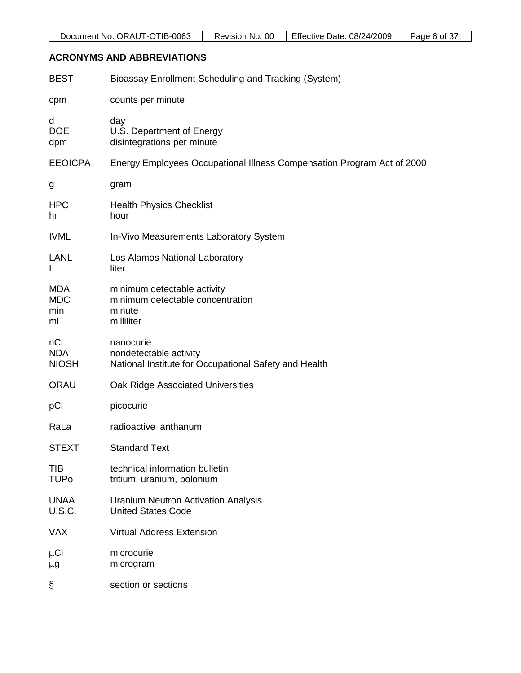# **ACRONYMS AND ABBREVIATIONS**

| <b>BEST</b>                           | Bioassay Enrollment Scheduling and Tracking (System)                                         |
|---------------------------------------|----------------------------------------------------------------------------------------------|
| cpm                                   | counts per minute                                                                            |
| d<br><b>DOE</b><br>dpm                | day<br>U.S. Department of Energy<br>disintegrations per minute                               |
| <b>EEOICPA</b>                        | Energy Employees Occupational Illness Compensation Program Act of 2000                       |
| g                                     | gram                                                                                         |
| <b>HPC</b><br>hr                      | <b>Health Physics Checklist</b><br>hour                                                      |
| <b>IVML</b>                           | In-Vivo Measurements Laboratory System                                                       |
| <b>LANL</b><br>L                      | Los Alamos National Laboratory<br>liter                                                      |
| <b>MDA</b><br><b>MDC</b><br>min<br>ml | minimum detectable activity<br>minimum detectable concentration<br>minute<br>milliliter      |
| nCi<br><b>NDA</b><br><b>NIOSH</b>     | nanocurie<br>nondetectable activity<br>National Institute for Occupational Safety and Health |
| ORAU                                  | Oak Ridge Associated Universities                                                            |
| pCi                                   | picocurie                                                                                    |
| RaLa                                  | radioactive lanthanum                                                                        |
| <b>STEXT</b>                          | <b>Standard Text</b>                                                                         |
| TIB<br><b>TUPo</b>                    | technical information bulletin<br>tritium, uranium, polonium                                 |
| <b>UNAA</b><br><b>U.S.C.</b>          | <b>Uranium Neutron Activation Analysis</b><br><b>United States Code</b>                      |
| <b>VAX</b>                            | <b>Virtual Address Extension</b>                                                             |
| μCi<br>μg                             | microcurie<br>microgram                                                                      |
| §                                     | section or sections                                                                          |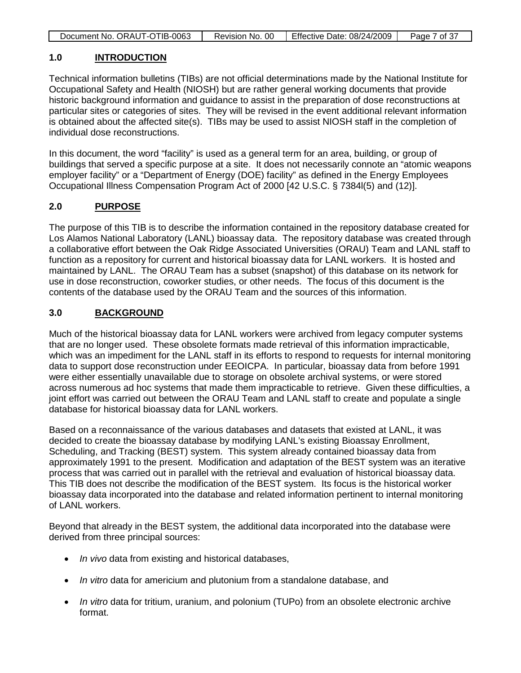| Effective Date: 08/24/2009<br>Document No. ORAUT-OTIB-0063<br>Page 7 of 37 |
|----------------------------------------------------------------------------|
|----------------------------------------------------------------------------|

#### **1.0 INTRODUCTION**

Technical information bulletins (TIBs) are not official determinations made by the National Institute for Occupational Safety and Health (NIOSH) but are rather general working documents that provide historic background information and guidance to assist in the preparation of dose reconstructions at particular sites or categories of sites. They will be revised in the event additional relevant information is obtained about the affected site(s). TIBs may be used to assist NIOSH staff in the completion of individual dose reconstructions.

In this document, the word "facility" is used as a general term for an area, building, or group of buildings that served a specific purpose at a site. It does not necessarily connote an "atomic weapons employer facility" or a "Department of Energy (DOE) facility" as defined in the Energy Employees Occupational Illness Compensation Program Act of 2000 [42 U.S.C. § 7384l(5) and (12)].

#### **2.0 PURPOSE**

The purpose of this TIB is to describe the information contained in the repository database created for Los Alamos National Laboratory (LANL) bioassay data. The repository database was created through a collaborative effort between the Oak Ridge Associated Universities (ORAU) Team and LANL staff to function as a repository for current and historical bioassay data for LANL workers. It is hosted and maintained by LANL. The ORAU Team has a subset (snapshot) of this database on its network for use in dose reconstruction, coworker studies, or other needs. The focus of this document is the contents of the database used by the ORAU Team and the sources of this information.

#### **3.0 BACKGROUND**

Much of the historical bioassay data for LANL workers were archived from legacy computer systems that are no longer used. These obsolete formats made retrieval of this information impracticable, which was an impediment for the LANL staff in its efforts to respond to requests for internal monitoring data to support dose reconstruction under EEOICPA. In particular, bioassay data from before 1991 were either essentially unavailable due to storage on obsolete archival systems, or were stored across numerous ad hoc systems that made them impracticable to retrieve. Given these difficulties, a joint effort was carried out between the ORAU Team and LANL staff to create and populate a single database for historical bioassay data for LANL workers.

Based on a reconnaissance of the various databases and datasets that existed at LANL, it was decided to create the bioassay database by modifying LANL's existing Bioassay Enrollment, Scheduling, and Tracking (BEST) system. This system already contained bioassay data from approximately 1991 to the present. Modification and adaptation of the BEST system was an iterative process that was carried out in parallel with the retrieval and evaluation of historical bioassay data. This TIB does not describe the modification of the BEST system. Its focus is the historical worker bioassay data incorporated into the database and related information pertinent to internal monitoring of LANL workers.

Beyond that already in the BEST system, the additional data incorporated into the database were derived from three principal sources:

- *In vivo* data from existing and historical databases,
- *In vitro* data for americium and plutonium from a standalone database, and
- *In vitro* data for tritium, uranium, and polonium (TUPo) from an obsolete electronic archive format.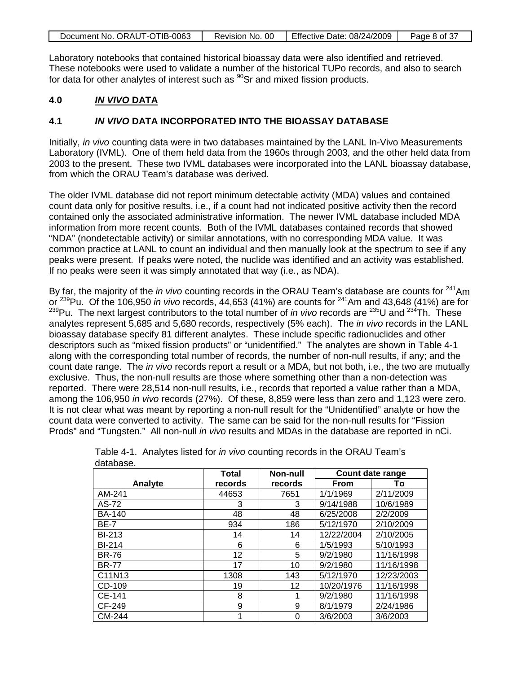| Document No. ORAUT-OTIB-0063 | Revision No. 00 | Effective Date: 08/24/2009 | Page 8 of 37 |
|------------------------------|-----------------|----------------------------|--------------|
|------------------------------|-----------------|----------------------------|--------------|

Laboratory notebooks that contained historical bioassay data were also identified and retrieved. These notebooks were used to validate a number of the historical TUPo records, and also to search for data for other analytes of interest such as  $^{90}$ Sr and mixed fission products.

#### **4.0** *IN VIVO* **DATA**

### **4.1** *IN VIVO* **DATA INCORPORATED INTO THE BIOASSAY DATABASE**

Initially, *in vivo* counting data were in two databases maintained by the LANL In-Vivo Measurements Laboratory (IVML). One of them held data from the 1960s through 2003, and the other held data from 2003 to the present. These two IVML databases were incorporated into the LANL bioassay database, from which the ORAU Team's database was derived.

The older IVML database did not report minimum detectable activity (MDA) values and contained count data only for positive results, i.e., if a count had not indicated positive activity then the record contained only the associated administrative information. The newer IVML database included MDA information from more recent counts. Both of the IVML databases contained records that showed "NDA" (nondetectable activity) or similar annotations, with no corresponding MDA value. It was common practice at LANL to count an individual and then manually look at the spectrum to see if any peaks were present. If peaks were noted, the nuclide was identified and an activity was established. If no peaks were seen it was simply annotated that way (i.e., as NDA).

By far, the majority of the *in vivo* counting records in the ORAU Team's database are counts for <sup>241</sup>Am or 239Pu. Of the 106,950 *in vivo* records, 44,653 (41%) are counts for 241Am and 43,648 (41%) are for <sup>239</sup>Pu. The next largest contributors to the total number of *in vivo* records are <sup>235</sup>U and <sup>234</sup>Th. These analytes represent 5,685 and 5,680 records, respectively (5% each). The *in vivo* records in the LANL bioassay database specify 81 different analytes. These include specific radionuclides and other descriptors such as "mixed fission products" or "unidentified." The analytes are shown in Table 4-1 along with the corresponding total number of records, the number of non-null results, if any; and the count date range. The *in vivo* records report a result or a MDA, but not both, i.e., the two are mutually exclusive. Thus, the non-null results are those where something other than a non-detection was reported. There were 28,514 non-null results, i.e., records that reported a value rather than a MDA, among the 106,950 *in vivo* records (27%). Of these, 8,859 were less than zero and 1,123 were zero. It is not clear what was meant by reporting a non-null result for the "Unidentified" analyte or how the count data were converted to activity. The same can be said for the non-null results for "Fission Prods" and "Tungsten." All non-null *in vivo* results and MDAs in the database are reported in nCi.

|               | <b>Total</b> | Non-null        | Count date range |            |
|---------------|--------------|-----------------|------------------|------------|
| Analyte       | records      | records         | <b>From</b>      | To         |
| AM-241        | 44653        | 7651            | 1/1/1969         | 2/11/2009  |
| AS-72         | 3            | 3               | 9/14/1988        | 10/6/1989  |
| <b>BA-140</b> | 48           | 48              | 6/25/2008        | 2/2/2009   |
| <b>BE-7</b>   | 934          | 186             | 5/12/1970        | 2/10/2009  |
| <b>BI-213</b> | 14           | 14              | 12/22/2004       | 2/10/2005  |
| <b>BI-214</b> | 6            | 6               | 1/5/1993         | 5/10/1993  |
| <b>BR-76</b>  | 12           | 5               | 9/2/1980         | 11/16/1998 |
| <b>BR-77</b>  | 17           | 10              | 9/2/1980         | 11/16/1998 |
| C11N13        | 1308         | 143             | 5/12/1970        | 12/23/2003 |
| CD-109        | 19           | 12 <sup>2</sup> | 10/20/1976       | 11/16/1998 |
| CE-141        | 8            | 1               | 9/2/1980         | 11/16/1998 |
| CF-249        | 9            | 9               | 8/1/1979         | 2/24/1986  |
| CM-244        |              | 0               | 3/6/2003         | 3/6/2003   |

|           | Table 4-1. Analytes listed for <i>in vivo</i> counting records in the ORAU Team's |  |  |
|-----------|-----------------------------------------------------------------------------------|--|--|
| database. |                                                                                   |  |  |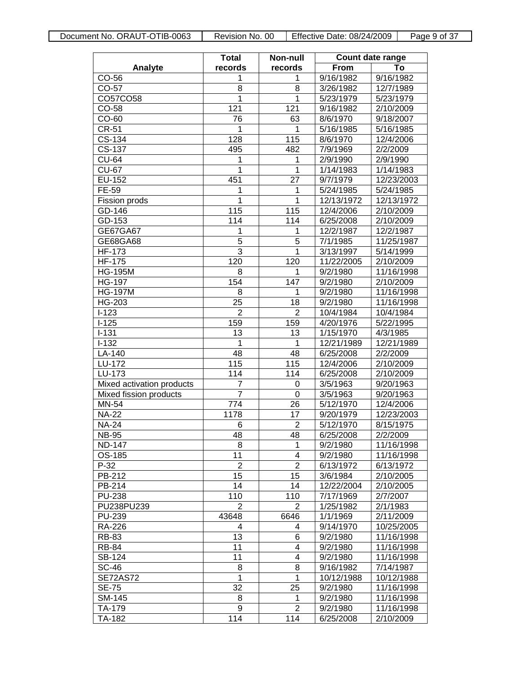|                           | <b>Total</b>     | Non-null       | Count date range |            |  |
|---------------------------|------------------|----------------|------------------|------------|--|
| Analyte                   | records          | records        | From             | Т٥         |  |
| CO-56                     | 1                | 1              | 9/16/1982        | 9/16/1982  |  |
| CO-57                     | 8                | 8              | 3/26/1982        | 12/7/1989  |  |
| CO57CO58                  | 1                | 1              | 5/23/1979        | 5/23/1979  |  |
| CO-58                     | 121              | 121            | 9/16/1982        | 2/10/2009  |  |
| CO-60                     | 76               | 63             | 8/6/1970         | 9/18/2007  |  |
| CR-51                     | 1                | 1              | 5/16/1985        | 5/16/1985  |  |
| CS-134                    | 128              | 115            | 8/6/1970         | 12/4/2006  |  |
| CS-137                    | 495              | 482            | 7/9/1969         | 2/2/2009   |  |
| CU-64                     | 1                | 1              | 2/9/1990         | 2/9/1990   |  |
| CU-67                     | 1                | 1              | 1/14/1983        | 1/14/1983  |  |
| EU-152                    | 451              | 27             | 9/7/1979         | 12/23/2003 |  |
| FE-59                     | 1                | 1              | 5/24/1985        | 5/24/1985  |  |
| Fission prods             | 1                | 1              | 12/13/1972       | 12/13/1972 |  |
| GD-146                    | 115              | 115            | 12/4/2006        | 2/10/2009  |  |
| GD-153                    | 114              | 114            | 6/25/2008        | 2/10/2009  |  |
| GE67GA67                  | 1                | 1              | 12/2/1987        | 12/2/1987  |  |
| GE68GA68                  | 5                | 5              | 7/1/1985         | 11/25/1987 |  |
| HF-173                    | 3                | 1              | 3/13/1997        | 5/14/1999  |  |
| <b>HF-175</b>             | $\overline{1}20$ | 120            | 11/22/2005       | 2/10/2009  |  |
| <b>HG-195M</b>            | 8                | 1              | 9/2/1980         | 11/16/1998 |  |
| <b>HG-197</b>             | 154              | 147            | 9/2/1980         | 2/10/2009  |  |
| <b>HG-197M</b>            | 8                | 1              | 9/2/1980         | 11/16/1998 |  |
| HG-203                    | 25               | 18             | 9/2/1980         | 11/16/1998 |  |
| $I-123$                   | $\overline{2}$   | 2              | 10/4/1984        | 10/4/1984  |  |
| $I-125$                   | 159              | 159            | 4/20/1976        | 5/22/1995  |  |
| $I - 131$                 | 13               | 13             | 1/15/1970        | 4/3/1985   |  |
| $I-132$                   | 1                | 1              | 12/21/1989       | 12/21/1989 |  |
| LA-140                    | 48               | 48             | 6/25/2008        | 2/2/2009   |  |
| LU-172                    | 115              | 115            | 12/4/2006        | 2/10/2009  |  |
| LU-173                    | 114              | 114            | 6/25/2008        | 2/10/2009  |  |
| Mixed activation products | 7                | 0              | 3/5/1963         | 9/20/1963  |  |
| Mixed fission products    | 7                | 0              | 3/5/1963         | 9/20/1963  |  |
| MN-54                     | 774              | 26             | 5/12/1970        | 12/4/2006  |  |
| <b>NA-22</b>              | 1178             | 17             | 9/20/1979        | 12/23/2003 |  |
| <b>NA-24</b>              | 6                | $\overline{2}$ | 5/12/1970        | 8/15/1975  |  |
| NB-95                     | 48               | 48             | 6/25/2008        | 2/2/2009   |  |
| ND-147                    | 8                | 1              | 9/2/1980         | 11/16/1998 |  |
| OS-185                    | 11               | 4              | 9/2/1980         | 11/16/1998 |  |
| P-32                      | 2                | $\overline{2}$ | 6/13/1972        | 6/13/1972  |  |
| PB-212                    | 15               | 15             | 3/6/1984         | 2/10/2005  |  |
| PB-214                    | 14               | 14             | 12/22/2004       | 2/10/2005  |  |
| <b>PU-238</b>             | 110              | 110            | 7/17/1969        | 2/7/2007   |  |
| PU238PU239                | 2                | 2              | 1/25/1982        | 2/1/1983   |  |
| <b>PU-239</b>             | 43648            | 6646           | 1/1/1969         | 2/11/2009  |  |
| RA-226                    | 4                |                | 9/14/1970        | 10/25/2005 |  |
| RB-83                     | 13               | 4<br>6         | 9/2/1980         | 11/16/1998 |  |
| RB-84                     | 11               | 4              | 9/2/1980         | 11/16/1998 |  |
| SB-124                    |                  |                |                  |            |  |
|                           | 11               | 4<br>8         | 9/2/1980         | 11/16/1998 |  |
| SC-46                     | 8<br>1           | 1              | 9/16/1982        | 7/14/1987  |  |
| <b>SE72AS72</b>           |                  | 25             | 10/12/1988       | 10/12/1988 |  |
| SE-75                     | 32               |                | 9/2/1980         | 11/16/1998 |  |
| SM-145                    | 8                | 1<br>2         | 9/2/1980         | 11/16/1998 |  |
| TA-179                    | 9                |                | 9/2/1980         | 11/16/1998 |  |
| TA-182                    | 114              | 114            | 6/25/2008        | 2/10/2009  |  |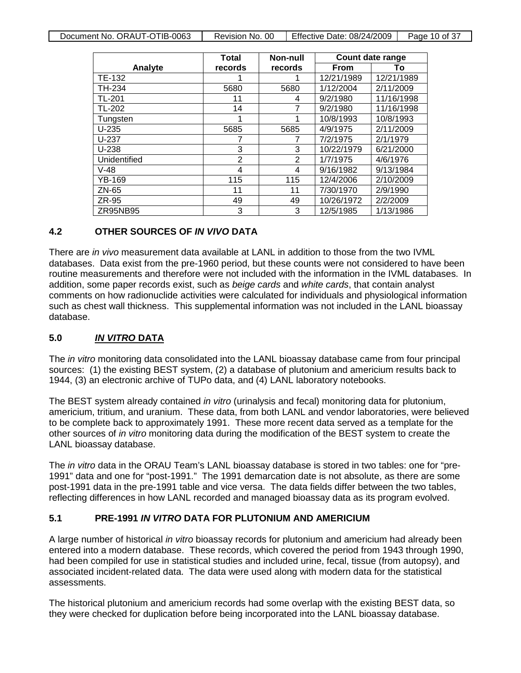| Document No. ORAUT-OTIB-0063 | Revision No. 00 | Effective Date: 08/24/2009 | Page 10 of 37 |
|------------------------------|-----------------|----------------------------|---------------|
|                              |                 |                            |               |

|              | Total   | Non-null       |             | <b>Count date range</b> |
|--------------|---------|----------------|-------------|-------------------------|
| Analyte      | records | records        | <b>From</b> | То                      |
| TE-132       |         |                | 12/21/1989  | 12/21/1989              |
| TH-234       | 5680    | 5680           | 1/12/2004   | 2/11/2009               |
| TL-201       | 11      | 4              | 9/2/1980    | 11/16/1998              |
| TL-202       | 14      | 7              | 9/2/1980    | 11/16/1998              |
| Tungsten     |         | 1              | 10/8/1993   | 10/8/1993               |
| $U-235$      | 5685    | 5685           | 4/9/1975    | 2/11/2009               |
| $U-237$      |         |                | 7/2/1975    | 2/1/1979                |
| $U-238$      | 3       | 3              | 10/22/1979  | 6/21/2000               |
| Unidentified | 2       | $\overline{2}$ | 1/7/1975    | 4/6/1976                |
| $V-48$       | 4       | 4              | 9/16/1982   | 9/13/1984               |
| YB-169       | 115     | 115            | 12/4/2006   | 2/10/2009               |
| ZN-65        | 11      | 11             | 7/30/1970   | 2/9/1990                |
| ZR-95        | 49      | 49             | 10/26/1972  | 2/2/2009                |
| ZR95NB95     | 3       | 3              | 12/5/1985   | 1/13/1986               |

### **4.2 OTHER SOURCES OF** *IN VIVO* **DATA**

There are *in vivo* measurement data available at LANL in addition to those from the two IVML databases. Data exist from the pre-1960 period, but these counts were not considered to have been routine measurements and therefore were not included with the information in the IVML databases. In addition, some paper records exist, such as *beige cards* and *white cards*, that contain analyst comments on how radionuclide activities were calculated for individuals and physiological information such as chest wall thickness. This supplemental information was not included in the LANL bioassay database.

#### **5.0** *IN VITRO* **DATA**

The *in vitro* monitoring data consolidated into the LANL bioassay database came from four principal sources: (1) the existing BEST system, (2) a database of plutonium and americium results back to 1944, (3) an electronic archive of TUPo data, and (4) LANL laboratory notebooks.

The BEST system already contained *in vitro* (urinalysis and fecal) monitoring data for plutonium, americium, tritium, and uranium. These data, from both LANL and vendor laboratories, were believed to be complete back to approximately 1991. These more recent data served as a template for the other sources of *in vitro* monitoring data during the modification of the BEST system to create the LANL bioassay database.

The *in vitro* data in the ORAU Team's LANL bioassay database is stored in two tables: one for "pre-1991" data and one for "post-1991." The 1991 demarcation date is not absolute, as there are some post-1991 data in the pre-1991 table and vice versa. The data fields differ between the two tables, reflecting differences in how LANL recorded and managed bioassay data as its program evolved.

#### **5.1 PRE-1991** *IN VITRO* **DATA FOR PLUTONIUM AND AMERICIUM**

A large number of historical *in vitro* bioassay records for plutonium and americium had already been entered into a modern database. These records, which covered the period from 1943 through 1990, had been compiled for use in statistical studies and included urine, fecal, tissue (from autopsy), and associated incident-related data. The data were used along with modern data for the statistical assessments.

The historical plutonium and americium records had some overlap with the existing BEST data, so they were checked for duplication before being incorporated into the LANL bioassay database.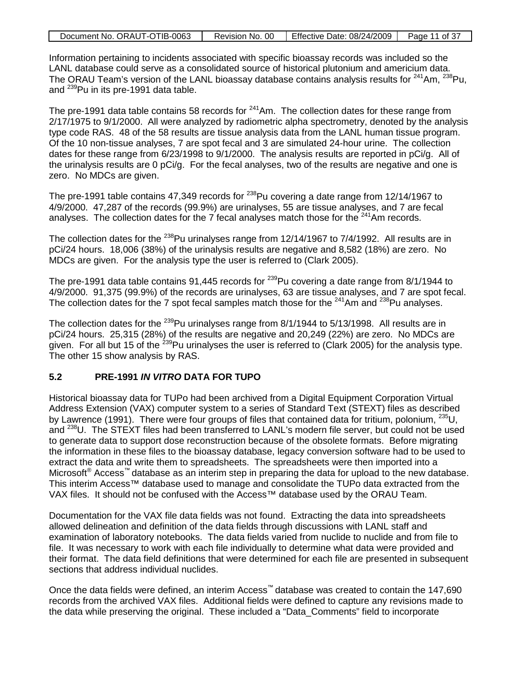| Document No. ORAUT-OTIB-0063 | Revision No. 00 | Effective Date: 08/24/2009 | Page 11 of 37 |
|------------------------------|-----------------|----------------------------|---------------|
|                              |                 |                            |               |

Information pertaining to incidents associated with specific bioassay records was included so the LANL database could serve as a consolidated source of historical plutonium and americium data. The ORAU Team's version of the LANL bioassay database contains analysis results for  $241$ Am,  $238$ Pu, and <sup>239</sup>Pu in its pre-1991 data table.

The pre-1991 data table contains 58 records for  $241$ Am. The collection dates for these range from 2/17/1975 to 9/1/2000. All were analyzed by radiometric alpha spectrometry, denoted by the analysis type code RAS. 48 of the 58 results are tissue analysis data from the LANL human tissue program. Of the 10 non-tissue analyses, 7 are spot fecal and 3 are simulated 24-hour urine. The collection dates for these range from 6/23/1998 to 9/1/2000. The analysis results are reported in pCi/g. All of the urinalysis results are 0 pCi/g. For the fecal analyses, two of the results are negative and one is zero. No MDCs are given.

The pre-1991 table contains 47,349 records for  $^{238}$ Pu covering a date range from 12/14/1967 to 4/9/2000. 47,287 of the records (99.9%) are urinalyses, 55 are tissue analyses, and 7 are fecal analyses. The collection dates for the 7 fecal analyses match those for the <sup>241</sup>Am records.

The collection dates for the <sup>238</sup>Pu urinalyses range from 12/14/1967 to 7/4/1992. All results are in pCi/24 hours. 18,006 (38%) of the urinalysis results are negative and 8,582 (18%) are zero. No MDCs are given. For the analysis type the user is referred to (Clark 2005).

The pre-1991 data table contains 91,445 records for <sup>239</sup>Pu covering a date range from 8/1/1944 to 4/9/2000. 91,375 (99.9%) of the records are urinalyses, 63 are tissue analyses, and 7 are spot fecal. The collection dates for the 7 spot fecal samples match those for the  $^{241}$ Am and  $^{238}$ Pu analyses.

The collection dates for the <sup>239</sup>Pu urinalyses range from 8/1/1944 to 5/13/1998. All results are in pCi/24 hours. 25,315 (28%) of the results are negative and 20,249 (22%) are zero. No MDCs are given. For all but 15 of the  $^{239}$ Pu urinalyses the user is referred to (Clark 2005) for the analysis type. The other 15 show analysis by RAS.

### **5.2 PRE-1991** *IN VITRO* **DATA FOR TUPO**

Historical bioassay data for TUPo had been archived from a Digital Equipment Corporation Virtual Address Extension (VAX) computer system to a series of Standard Text (STEXT) files as described by Lawrence (1991). There were four groups of files that contained data for tritium, polonium,  $^{235}$ U, and <sup>238</sup>U. The STEXT files had been transferred to LANL's modern file server, but could not be used to generate data to support dose reconstruction because of the obsolete formats. Before migrating the information in these files to the bioassay database, legacy conversion software had to be used to extract the data and write them to spreadsheets. The spreadsheets were then imported into a Microsoft<sup>®</sup> Access<sup>™</sup> database as an interim step in preparing the data for upload to the new database. This interim Access™ database used to manage and consolidate the TUPo data extracted from the VAX files. It should not be confused with the Access™ database used by the ORAU Team.

Documentation for the VAX file data fields was not found. Extracting the data into spreadsheets allowed delineation and definition of the data fields through discussions with LANL staff and examination of laboratory notebooks. The data fields varied from nuclide to nuclide and from file to file. It was necessary to work with each file individually to determine what data were provided and their format. The data field definitions that were determined for each file are presented in subsequent sections that address individual nuclides.

Once the data fields were defined, an interim Access™ database was created to contain the 147,690 records from the archived VAX files. Additional fields were defined to capture any revisions made to the data while preserving the original. These included a "Data\_Comments" field to incorporate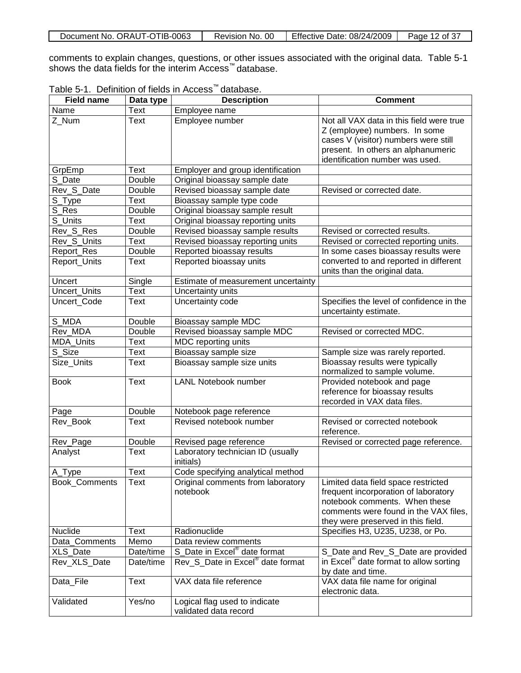| Document No. ORAUT-OTIB-0063 | Revision No. 00 | <b>Effective Date: 08/24/2009</b> | Page 12 of 37 |
|------------------------------|-----------------|-----------------------------------|---------------|
|------------------------------|-----------------|-----------------------------------|---------------|

comments to explain changes, questions, or other issues associated with the original data. Table 5-1 shows the data fields for the interim Access™ database.

Table 5-1. Definition of fields in Access™ database.

| <b>Field name</b> | Data type          | <b>Description</b>                                     | <b>Comment</b>                                                                                                                                                                              |
|-------------------|--------------------|--------------------------------------------------------|---------------------------------------------------------------------------------------------------------------------------------------------------------------------------------------------|
| Name              | <b>Text</b>        | Employee name                                          |                                                                                                                                                                                             |
| Z_Num             | Text               | Employee number                                        | Not all VAX data in this field were true<br>Z (employee) numbers. In some<br>cases V (visitor) numbers were still<br>present. In others an alphanumeric<br>identification number was used.  |
| GrpEmp            | Text               | Employer and group identification                      |                                                                                                                                                                                             |
| S_Date            | Double             | Original bioassay sample date                          |                                                                                                                                                                                             |
| Rev_S_Date        | Double             | Revised bioassay sample date                           | Revised or corrected date.                                                                                                                                                                  |
| S_Type            | Text               | Bioassay sample type code                              |                                                                                                                                                                                             |
| S_Res             | Double             | Original bioassay sample result                        |                                                                                                                                                                                             |
| S_Units           | Text               | Original bioassay reporting units                      |                                                                                                                                                                                             |
| Rev_S_Res         | Double             | Revised bioassay sample results                        | Revised or corrected results.                                                                                                                                                               |
| Rev_S_Units       | Text               | Revised bioassay reporting units                       | Revised or corrected reporting units.                                                                                                                                                       |
| Report_Res        | Double             | Reported bioassay results                              | In some cases bioassay results were                                                                                                                                                         |
| Report_Units      | Text               | Reported bioassay units                                | converted to and reported in different<br>units than the original data.                                                                                                                     |
| Uncert            | Single             | Estimate of measurement uncertainty                    |                                                                                                                                                                                             |
| Uncert_Units      | Text               | Uncertainty units                                      |                                                                                                                                                                                             |
| Uncert_Code       | Text               | Uncertainty code                                       | Specifies the level of confidence in the<br>uncertainty estimate.                                                                                                                           |
| S_MDA             | Double             | Bioassay sample MDC                                    |                                                                                                                                                                                             |
| Rev_MDA           | Double             | Revised bioassay sample MDC                            | Revised or corrected MDC.                                                                                                                                                                   |
| <b>MDA_Units</b>  | <b>Text</b>        | MDC reporting units                                    |                                                                                                                                                                                             |
| S_Size            | <b>Text</b>        | Bioassay sample size                                   | Sample size was rarely reported.                                                                                                                                                            |
| Size_Units        | Text               | Bioassay sample size units                             | Bioassay results were typically<br>normalized to sample volume.                                                                                                                             |
| <b>Book</b>       | Text               | <b>LANL Notebook number</b>                            | Provided notebook and page<br>reference for bioassay results<br>recorded in VAX data files.                                                                                                 |
| Page              | Double             | Notebook page reference                                |                                                                                                                                                                                             |
| Rev_Book          | Text               | Revised notebook number                                | Revised or corrected notebook<br>reference.                                                                                                                                                 |
| Rev_Page          | Double             | Revised page reference                                 | Revised or corrected page reference.                                                                                                                                                        |
| Analyst           | <b>Text</b>        | Laboratory technician ID (usually<br>initials)         |                                                                                                                                                                                             |
| A Type            | $\overline{T}$ ext | Code specifying analytical method                      |                                                                                                                                                                                             |
| Book_Comments     | <b>Text</b>        | Original comments from laboratory<br>notebook          | Limited data field space restricted<br>frequent incorporation of laboratory<br>notebook comments. When these<br>comments were found in the VAX files,<br>they were preserved in this field. |
| Nuclide           | Text               | Radionuclide                                           | Specifies H3, U235, U238, or Po.                                                                                                                                                            |
| Data_Comments     | Memo               | Data review comments                                   |                                                                                                                                                                                             |
| XLS_Date          | Date/time          | S_Date in Excel® date format                           | S_Date and Rev_S_Date are provided                                                                                                                                                          |
| Rev_XLS_Date      | Date/time          | Rev_S_Date in Excel <sup>®</sup> date format           | in Excel <sup>®</sup> date format to allow sorting<br>by date and time.                                                                                                                     |
| Data File         | <b>Text</b>        | VAX data file reference                                | VAX data file name for original<br>electronic data.                                                                                                                                         |
| Validated         | Yes/no             | Logical flag used to indicate<br>validated data record |                                                                                                                                                                                             |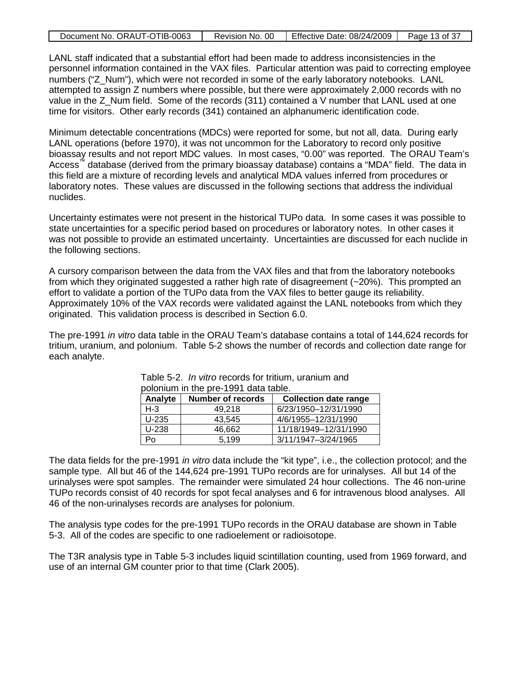| Document No. ORAUT-OTIB-0063 |  | Revision No. 00   Effective Date: 08/24/2009   Page 13 of 37 |  |
|------------------------------|--|--------------------------------------------------------------|--|
|------------------------------|--|--------------------------------------------------------------|--|

LANL staff indicated that a substantial effort had been made to address inconsistencies in the personnel information contained in the VAX files. Particular attention was paid to correcting employee numbers ("Z\_Num"), which were not recorded in some of the early laboratory notebooks. LANL attempted to assign Z numbers where possible, but there were approximately 2,000 records with no value in the  $Z$  Num field. Some of the records (311) contained a V number that LANL used at one time for visitors. Other early records (341) contained an alphanumeric identification code.

Minimum detectable concentrations (MDCs) were reported for some, but not all, data. During early LANL operations (before 1970), it was not uncommon for the Laboratory to record only positive bioassay results and not report MDC values. In most cases, "0.00" was reported. The ORAU Team's Access™ database (derived from the primary bioassay database) contains a "MDA" field. The data in this field are a mixture of recording levels and analytical MDA values inferred from procedures or laboratory notes. These values are discussed in the following sections that address the individual nuclides.

Uncertainty estimates were not present in the historical TUPo data. In some cases it was possible to state uncertainties for a specific period based on procedures or laboratory notes. In other cases it was not possible to provide an estimated uncertainty. Uncertainties are discussed for each nuclide in the following sections.

A cursory comparison between the data from the VAX files and that from the laboratory notebooks from which they originated suggested a rather high rate of disagreement (~20%). This prompted an effort to validate a portion of the TUPo data from the VAX files to better gauge its reliability. Approximately 10% of the VAX records were validated against the LANL notebooks from which they originated. This validation process is described in Section 6.0.

The pre-1991 *in vitro* data table in the ORAU Team's database contains a total of 144,624 records for tritium, uranium, and polonium. Table 5-2 shows the number of records and collection date range for each analyte.

| Analyte | <b>Number of records</b> | <b>Collection date range</b> |
|---------|--------------------------|------------------------------|
| $H-3$   | 49.218                   | 6/23/1950-12/31/1990         |
| $U-235$ | 43.545                   | 4/6/1955-12/31/1990          |
| U-238   | 46.662                   | 11/18/1949-12/31/1990        |
| Po      | 5.199                    | 3/11/1947-3/24/1965          |

Table 5-2. *In vitro* records for tritium, uranium and polonium in the pre-1991 data table.

The data fields for the pre-1991 *in vitro* data include the "kit type", i.e., the collection protocol; and the sample type. All but 46 of the 144,624 pre-1991 TUPo records are for urinalyses. All but 14 of the urinalyses were spot samples. The remainder were simulated 24 hour collections. The 46 non-urine TUPo records consist of 40 records for spot fecal analyses and 6 for intravenous blood analyses. All 46 of the non-urinalyses records are analyses for polonium.

The analysis type codes for the pre-1991 TUPo records in the ORAU database are shown in Table 5-3. All of the codes are specific to one radioelement or radioisotope.

The T3R analysis type in Table 5-3 includes liquid scintillation counting, used from 1969 forward, and use of an internal GM counter prior to that time (Clark 2005).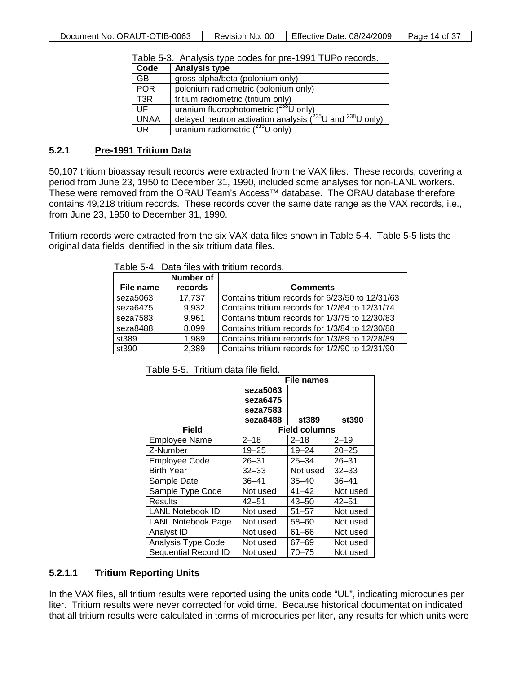|                  | <b>Tablo of this yold type could for profit for a room ad.</b>     |
|------------------|--------------------------------------------------------------------|
| Code             | <b>Analysis type</b>                                               |
| GB.              | gross alpha/beta (polonium only)                                   |
| <b>POR</b>       | polonium radiometric (polonium only)                               |
| T <sub>3</sub> R | tritium radiometric (tritium only)                                 |
| UF               | uranium fluorophotometric $(^{238}$ U only)                        |
| <b>UNAA</b>      | delayed neutron activation analysis $(^{235}U$ and $^{238}U$ only) |
| UR.              | uranium radiometric $(^{235}$ U only)                              |

Table 5-3. Analysis type codes for pre-1991 TUPo records.

#### **5.2.1 Pre-1991 Tritium Data**

50,107 tritium bioassay result records were extracted from the VAX files. These records, covering a period from June 23, 1950 to December 31, 1990, included some analyses for non-LANL workers. These were removed from the ORAU Team's Access™ database. The ORAU database therefore contains 49,218 tritium records. These records cover the same date range as the VAX records, i.e., from June 23, 1950 to December 31, 1990.

Tritium records were extracted from the six VAX data files shown in Table 5-4. Table 5-5 lists the original data fields identified in the six tritium data files.

Table 5-4. Data files with tritium records.

| File name | Number of<br>records | <b>Comments</b>                                  |
|-----------|----------------------|--------------------------------------------------|
| seza5063  | 17,737               | Contains tritium records for 6/23/50 to 12/31/63 |
| seza6475  | 9,932                | Contains tritium records for 1/2/64 to 12/31/74  |
| seza7583  | 9,961                | Contains tritium records for 1/3/75 to 12/30/83  |
| seza8488  | 8,099                | Contains tritium records for 1/3/84 to 12/30/88  |
| st389     | 1,989                | Contains tritium records for 1/3/89 to 12/28/89  |
| st390     | 2,389                | Contains tritium records for 1/2/90 to 12/31/90  |

|                         | File names |                      |           |
|-------------------------|------------|----------------------|-----------|
|                         | seza5063   |                      |           |
|                         | seza6475   |                      |           |
|                         | seza7583   |                      |           |
|                         | seza8488   | st389                | st390     |
| Field                   |            | <b>Field columns</b> |           |
| <b>Employee Name</b>    | $2 - 18$   | $2 - 18$             | $2 - 19$  |
| Z-Number                | $19 - 25$  | $19 - 24$            | $20 - 25$ |
| Employee Code           | $26 - 31$  | $25 - 34$            | $26 - 31$ |
| <b>Birth Year</b>       | $32 - 33$  | Not used             | $32 - 33$ |
| Sample Date             | $36 - 41$  | $35 - 40$            | $36 - 41$ |
| Sample Type Code        | Not used   | $41 - 42$            | Not used  |
| Results                 | 42–51      | $43 - 50$            | $42 - 51$ |
| <b>LANL Notebook ID</b> | Not used   | $51 - 57$            | Not used  |
| LANL Notebook Page      | Not used   | $58 - 60$            | Not used  |
| Analyst ID              | Not used   | $61 - 66$            | Not used  |
| Analysis Type Code      | Not used   | $67 - 69$            | Not used  |
| Sequential Record ID    | Not used   | $70 - 75$            | Not used  |

Table 5-5. Tritium data file field.

### **5.2.1.1 Tritium Reporting Units**

In the VAX files, all tritium results were reported using the units code "UL", indicating microcuries per liter. Tritium results were never corrected for void time. Because historical documentation indicated that all tritium results were calculated in terms of microcuries per liter, any results for which units were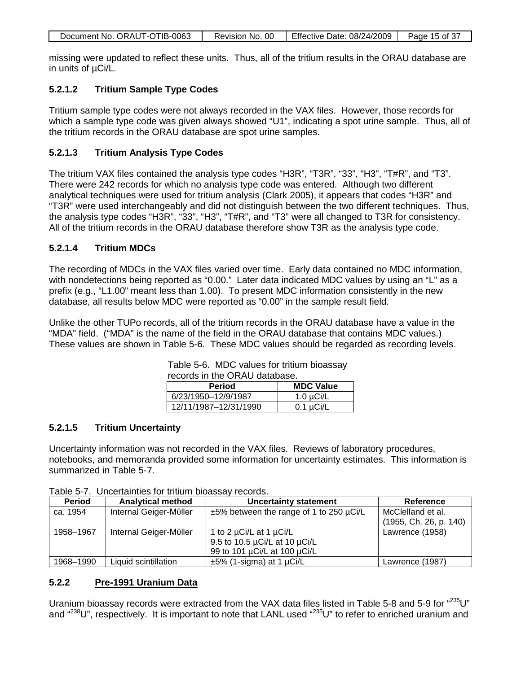|--|

missing were updated to reflect these units. Thus, all of the tritium results in the ORAU database are in units of µCi/L.

#### **5.2.1.2 Tritium Sample Type Codes**

Tritium sample type codes were not always recorded in the VAX files. However, those records for which a sample type code was given always showed "U1", indicating a spot urine sample. Thus, all of the tritium records in the ORAU database are spot urine samples.

#### **5.2.1.3 Tritium Analysis Type Codes**

The tritium VAX files contained the analysis type codes "H3R", "T3R", "33", "H3", "T#R", and "T3". There were 242 records for which no analysis type code was entered. Although two different analytical techniques were used for tritium analysis (Clark 2005), it appears that codes "H3R" and "T3R" were used interchangeably and did not distinguish between the two different techniques. Thus, the analysis type codes "H3R", "33", "H3", "T#R", and "T3" were all changed to T3R for consistency. All of the tritium records in the ORAU database therefore show T3R as the analysis type code.

#### **5.2.1.4 Tritium MDCs**

The recording of MDCs in the VAX files varied over time. Early data contained no MDC information, with nondetections being reported as "0.00." Later data indicated MDC values by using an "L" as a prefix (e.g., "L1.00" meant less than 1.00). To present MDC information consistently in the new database, all results below MDC were reported as "0.00" in the sample result field.

Unlike the other TUPo records, all of the tritium records in the ORAU database have a value in the "MDA" field. ("MDA" is the name of the field in the ORAU database that contains MDC values.) These values are shown in Table 5-6. These MDC values should be regarded as recording levels.

| records in the ORAU database.     |                |  |
|-----------------------------------|----------------|--|
| <b>MDC Value</b><br><b>Period</b> |                |  |
| 6/23/1950-12/9/1987               | $1.0 \mu$ Ci/L |  |
| 12/11/1987-12/31/1990             | $0.1 \mu$ Ci/L |  |

# Table 5-6. MDC values for tritium bioassay

### **5.2.1.5 Tritium Uncertainty**

Uncertainty information was not recorded in the VAX files. Reviews of laboratory procedures, notebooks, and memoranda provided some information for uncertainty estimates. This information is summarized in Table 5-7.

| <b>Period</b> | <b>Analytical method</b> | <b>Uncertainty statement</b>                  | Reference              |
|---------------|--------------------------|-----------------------------------------------|------------------------|
| ca. 1954      | Internal Geiger-Müller   | $\pm 5\%$ between the range of 1 to 250 µCi/L | McClelland et al.      |
|               |                          |                                               | (1955, Ch. 26, p. 140) |
| 1958-1967     | Internal Geiger-Müller   | 1 to 2 µCi/L at 1 µCi/L                       | Lawrence (1958)        |
|               |                          | 9.5 to 10.5 µCi/L at 10 µCi/L                 |                        |
|               |                          | 99 to 101 µCi/L at 100 µCi/L                  |                        |
| 1968-1990     | Liquid scintillation     | $\pm 5\%$ (1-sigma) at 1 µCi/L                | Lawrence (1987)        |

#### **5.2.2 Pre-1991 Uranium Data**

Uranium bioassay records were extracted from the VAX data files listed in Table 5-8 and 5-9 for "235U" and "<sup>238</sup>U", respectively. It is important to note that LANL used "<sup>235</sup>U" to refer to enriched uranium and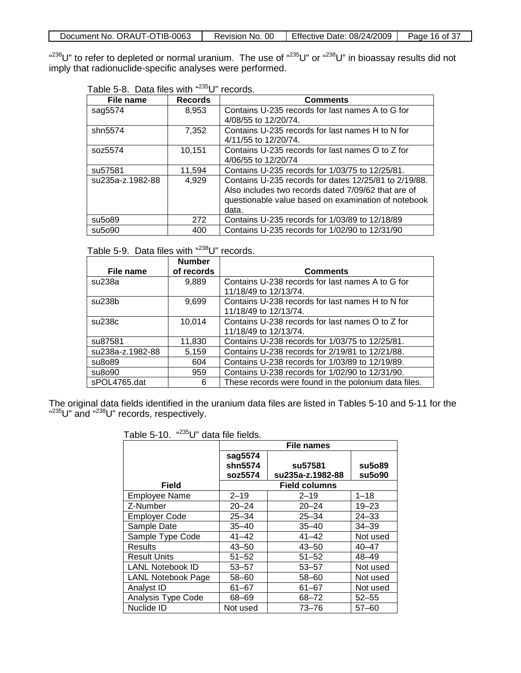| Document No. ORAUT-OTIB-0063 | Revision No. 00 | Effective Date: $08/24/2009$ | Page 16 of 37 |
|------------------------------|-----------------|------------------------------|---------------|
|                              |                 |                              |               |

"<sup>238</sup>U" to refer to depleted or normal uranium. The use of "<sup>235</sup>U" or "<sup>238</sup>U" in bioassay results did not imply that radionuclide-specific analyses were performed.

| Table 5-8. Data files with " <sup>235</sup> U" records. |  |  |  |  |
|---------------------------------------------------------|--|--|--|--|
|---------------------------------------------------------|--|--|--|--|

| File name          | <b>Records</b> | <b>Comments</b>                                                          |
|--------------------|----------------|--------------------------------------------------------------------------|
| sag5574            | 8,953          | Contains U-235 records for last names A to G for<br>4/08/55 to 12/20/74. |
|                    |                |                                                                          |
| shn5574            | 7,352          | Contains U-235 records for last names H to N for                         |
|                    |                | 4/11/55 to 12/20/74.                                                     |
| soz5574            | 10,151         | Contains U-235 records for last names O to Z for                         |
|                    |                | 4/06/55 to 12/20/74                                                      |
| su57581            | 11.594         | Contains U-235 records for 1/03/75 to 12/25/81.                          |
| su235a-z.1982-88   | 4,929          | Contains U-235 records for dates 12/25/81 to 2/19/88.                    |
|                    |                | Also includes two records dated 7/09/62 that are of                      |
|                    |                | questionable value based on examination of notebook                      |
|                    |                | data.                                                                    |
| su5o89             | 272            | Contains U-235 records for 1/03/89 to 12/18/89                           |
| su <sub>5090</sub> | 400            | Contains U-235 records for 1/02/90 to 12/31/90                           |

### Table 5-9. Data files with "238U" records.

|                  | <b>Number</b> |                                                      |
|------------------|---------------|------------------------------------------------------|
| File name        | of records    | <b>Comments</b>                                      |
| su238a           | 9,889         | Contains U-238 records for last names A to G for     |
|                  |               | 11/18/49 to 12/13/74.                                |
| su238b           | 9,699         | Contains U-238 records for last names H to N for     |
|                  |               | 11/18/49 to 12/13/74.                                |
| su238c           | 10,014        | Contains U-238 records for last names O to Z for     |
|                  |               | 11/18/49 to 12/13/74.                                |
| su87581          | 11,830        | Contains U-238 records for 1/03/75 to 12/25/81.      |
| su238a-z.1982-88 | 5,159         | Contains U-238 records for 2/19/81 to 12/21/88.      |
| su8o89           | 604           | Contains U-238 records for 1/03/89 to 12/19/89.      |
| su8o90           | 959           | Contains U-238 records for 1/02/90 to 12/31/90.      |
| sPOL4765.dat     | 6             | These records were found in the polonium data files. |

The original data fields identified in the uranium data files are listed in Tables 5-10 and 5-11 for the "<sup>235</sup>U" and "<sup>238</sup>U" records, respectively.

| Table 5-10. | " <sup>235</sup> U" data file fields. |
|-------------|---------------------------------------|
|-------------|---------------------------------------|

|                           | <b>File names</b>  |                                         |                  |
|---------------------------|--------------------|-----------------------------------------|------------------|
|                           | sag5574            |                                         |                  |
|                           | shn5574<br>soz5574 | su <sub>57581</sub><br>su235a-z.1982-88 | su5o89<br>su5o90 |
| Field                     |                    | <b>Field columns</b>                    |                  |
|                           |                    |                                         |                  |
| <b>Employee Name</b>      | $2 - 19$           | $2 - 19$                                | $1 - 18$         |
| Z-Number                  | $20 - 24$          | $20 - 24$                               | $19 - 23$        |
| <b>Employer Code</b>      | $25 - 34$          | $25 - 34$                               | $24 - 33$        |
| Sample Date               | $35 - 40$          | $35 - 40$                               | $34 - 39$        |
| Sample Type Code          | $41 - 42$          | $41 - 42$                               | Not used         |
| <b>Results</b>            | $43 - 50$          | $43 - 50$                               | $40 - 47$        |
| <b>Result Units</b>       | $51 - 52$          | $51 - 52$                               | 48–49            |
| <b>LANL Notebook ID</b>   | $53 - 57$          | $53 - 57$                               | Not used         |
| <b>LANL Notebook Page</b> | $58 - 60$          | $58 - 60$                               | Not used         |
| Analyst ID                | $61 - 67$          | $61 - 67$                               | Not used         |
| Analysis Type Code        | 68-69              | $68 - 72$                               | $52 - 55$        |
| Nuclide ID                | Not used           | $73 - 76$                               | $57 - 60$        |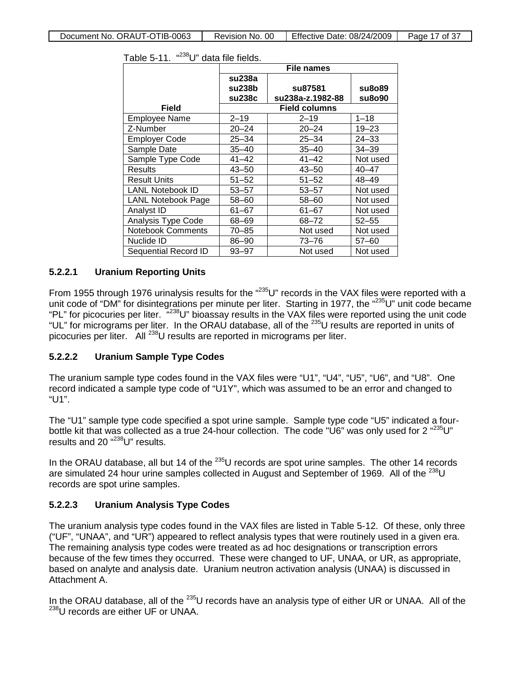|                           | <b>File names</b> |                      |           |
|---------------------------|-------------------|----------------------|-----------|
|                           | su238a            |                      |           |
|                           | su238b            | su87581              | su8o89    |
|                           | su238c            | su238a-z.1982-88     | su8o90    |
| <b>Field</b>              |                   | <b>Field columns</b> |           |
| Employee Name             | $2 - 19$          | $2 - 19$             | $1 - 18$  |
| Z-Number                  | $20 - 24$         | $20 - 24$            | $19 - 23$ |
| <b>Employer Code</b>      | $25 - 34$         | $25 - 34$            | $24 - 33$ |
| Sample Date               | $35 - 40$         | $35 - 40$            | $34 - 39$ |
| Sample Type Code          | $41 - 42$         | $41 - 42$            | Not used  |
| Results                   | $43 - 50$         | $43 - 50$            | $40 - 47$ |
| <b>Result Units</b>       | $51 - 52$         | $51 - 52$            | $48 - 49$ |
| <b>LANL Notebook ID</b>   | $53 - 57$         | $53 - 57$            | Not used  |
| <b>LANL Notebook Page</b> | 58-60             | $58 - 60$            | Not used  |
| Analyst ID                | 61-67             | 61-67                | Not used  |
| Analysis Type Code        | 68-69             | 68-72                | $52 - 55$ |
| <b>Notebook Comments</b>  | 70–85             | Not used             | Not used  |
| Nuclide ID                | 86-90             | $73 - 76$            | $57 - 60$ |
| Sequential Record ID      | $93 - 97$         | Not used             | Not used  |

| Table 5-11. | " <sup>238</sup> U" data file fields. |
|-------------|---------------------------------------|
|-------------|---------------------------------------|

#### **5.2.2.1 Uranium Reporting Units**

From 1955 through 1976 urinalysis results for the "235U" records in the VAX files were reported with a unit code of "DM" for disintegrations per minute per liter. Starting in 1977, the "235U" unit code became "PL" for picocuries per liter. <sup>"238</sup>U" bioassay results in the VAX files were reported using the unit code "UL" for micrograms per liter. In the ORAU database, all of the <sup>235</sup>U results are reported in units of picocuries per liter. All <sup>238</sup>U results are reported in micrograms per liter.

#### **5.2.2.2 Uranium Sample Type Codes**

The uranium sample type codes found in the VAX files were "U1", "U4", "U5", "U6", and "U8". One record indicated a sample type code of "U1Y", which was assumed to be an error and changed to "U1".

The "U1" sample type code specified a spot urine sample. Sample type code "U5" indicated a fourbottle kit that was collected as a true 24-hour collection. The code "U6" was only used for 2 "235U" results and 20<sup>"238</sup>U" results.

In the ORAU database, all but 14 of the <sup>235</sup>U records are spot urine samples. The other 14 records are simulated 24 hour urine samples collected in August and September of 1969. All of the  $^{238}$ U records are spot urine samples.

### **5.2.2.3 Uranium Analysis Type Codes**

The uranium analysis type codes found in the VAX files are listed in Table 5-12. Of these, only three ("UF", "UNAA", and "UR") appeared to reflect analysis types that were routinely used in a given era. The remaining analysis type codes were treated as ad hoc designations or transcription errors because of the few times they occurred. These were changed to UF, UNAA, or UR, as appropriate, based on analyte and analysis date. Uranium neutron activation analysis (UNAA) is discussed in Attachment A.

In the ORAU database, all of the  $^{235}$ U records have an analysis type of either UR or UNAA. All of the <sup>238</sup>U records are either UF or UNAA.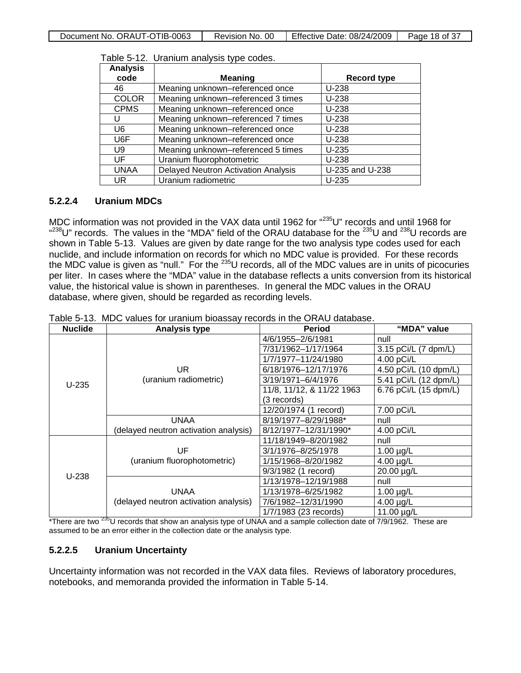| <b>Analysis</b> |                                            |                    |
|-----------------|--------------------------------------------|--------------------|
| code            | <b>Meaning</b>                             | <b>Record type</b> |
| 46              | Meaning unknown-referenced once            | $U-238$            |
| <b>COLOR</b>    | Meaning unknown-referenced 3 times         | $U-238$            |
| <b>CPMS</b>     | Meaning unknown-referenced once            | $U-238$            |
|                 | Meaning unknown-referenced 7 times         | $U-238$            |
| U <sub>6</sub>  | Meaning unknown-referenced once            | $U-238$            |
| U6F             | Meaning unknown-referenced once            | $U-238$            |
| U9              | Meaning unknown-referenced 5 times         | $U-235$            |
| UF              | Uranium fluorophotometric                  | $U-238$            |
| <b>UNAA</b>     | <b>Delayed Neutron Activation Analysis</b> | U-235 and U-238    |
| UR              | Uranium radiometric                        | $U-235$            |

Table 5-12. Uranium analysis type codes.

#### **5.2.2.4 Uranium MDCs**

MDC information was not provided in the VAX data until 1962 for "235U" records and until 1968 for  $^{4238}$ U" records. The values in the "MDA" field of the ORAU database for the  $^{235}$ U and  $^{238}$ U records are shown in Table 5-13. Values are given by date range for the two analysis type codes used for each nuclide, and include information on records for which no MDC value is provided. For these records the MDC value is given as "null." For the 235U records, all of the MDC values are in units of picocuries per liter. In cases where the "MDA" value in the database reflects a units conversion from its historical value, the historical value is shown in parentheses. In general the MDC values in the ORAU database, where given, should be regarded as recording levels.

| <b>Nuclide</b> | <b>Analysis type</b>                  | Period                    | "MDA" value           |
|----------------|---------------------------------------|---------------------------|-----------------------|
|                |                                       | 4/6/1955-2/6/1981         | null                  |
|                |                                       | 7/31/1962-1/17/1964       | 3.15 pCi/L (7 dpm/L)  |
|                |                                       | 1/7/1977-11/24/1980       | 4.00 pCi/L            |
|                | UR.                                   | 6/18/1976-12/17/1976      | 4.50 pCi/L (10 dpm/L) |
| $U-235$        | (uranium radiometric)                 | 3/19/1971-6/4/1976        | 5.41 pCi/L (12 dpm/L) |
|                |                                       | 11/8, 11/12, & 11/22 1963 | 6.76 pCi/L (15 dpm/L) |
|                |                                       | (3 records)               |                       |
|                |                                       | 12/20/1974 (1 record)     | 7.00 pCi/L            |
|                | <b>UNAA</b>                           | 8/19/1977-8/29/1988*      | null                  |
|                | (delayed neutron activation analysis) | 8/12/1977-12/31/1990*     | 4.00 pCi/L            |
|                |                                       | 11/18/1949-8/20/1982      | null                  |
|                | UF                                    | 3/1/1976-8/25/1978        | $1.00 \mu g/L$        |
|                | (uranium fluorophotometric)           | 1/15/1968-8/20/1982       | $4.00 \mu g/L$        |
| $U-238$        |                                       | 9/3/1982 (1 record)       | 20.00 µg/L            |
|                |                                       | 1/13/1978-12/19/1988      | null                  |
|                | <b>UNAA</b>                           | 1/13/1978-6/25/1982       | $1.00 \mu g/L$        |
|                | (delayed neutron activation analysis) | 7/6/1982-12/31/1990       | $4.00 \mu g/L$        |
|                |                                       | 1/7/1983 (23 records)     | 11.00 µg/L            |

Table 5-13. MDC values for uranium bioassay records in the ORAU database.

\*There are two <sup>235</sup>U records that show an analysis type of UNAA and a sample collection date of 7/9/1962. These are assumed to be an error either in the collection date or the analysis type.

#### **5.2.2.5 Uranium Uncertainty**

Uncertainty information was not recorded in the VAX data files. Reviews of laboratory procedures, notebooks, and memoranda provided the information in Table 5-14.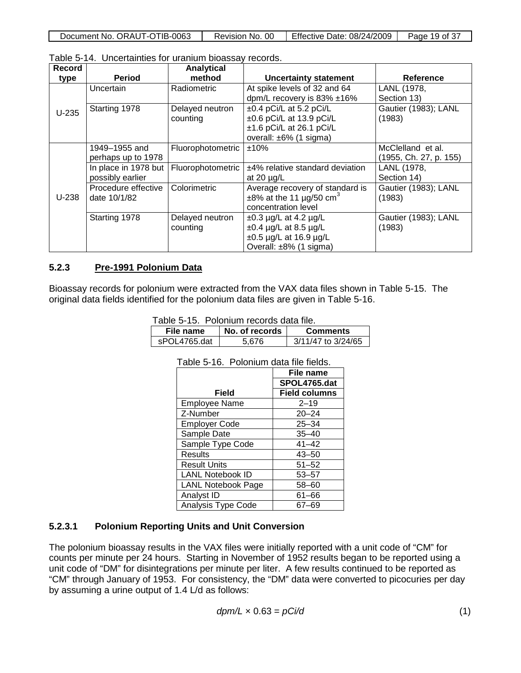| Document No. ORAUT-OTIB-0063 | Revision No. 00 | Effective Date: 08/24/2009 | Page 19 of 37 |
|------------------------------|-----------------|----------------------------|---------------|

| Record  |                                          | <b>Analytical</b>           |                                                                                                                     |                                             |
|---------|------------------------------------------|-----------------------------|---------------------------------------------------------------------------------------------------------------------|---------------------------------------------|
| type    | <b>Period</b>                            | method                      | <b>Uncertainty statement</b>                                                                                        | <b>Reference</b>                            |
|         | Uncertain                                | Radiometric                 | At spike levels of 32 and 64<br>dpm/L recovery is $83\% \pm 16\%$                                                   | LANL (1978,<br>Section 13)                  |
| $U-235$ | Starting 1978                            | Delayed neutron<br>counting | $\pm 0.4$ pCi/L at 5.2 pCi/L<br>±0.6 pCi/L at 13.9 pCi/L<br>$\pm$ 1.6 pCi/L at 26.1 pCi/L<br>overall: ±6% (1 sigma) | Gautier (1983); LANL<br>(1983)              |
|         | 1949–1955 and<br>perhaps up to 1978      | Fluorophotometric           | ±10%                                                                                                                | McClelland et al.<br>(1955, Ch. 27, p. 155) |
|         | In place in 1978 but<br>possibly earlier | Fluorophotometric           | ±4% relative standard deviation<br>at 20 $\mu$ g/L                                                                  | LANL (1978,<br>Section 14)                  |
| $U-238$ | Procedure effective<br>date 10/1/82      | Colorimetric                | Average recovery of standard is<br>$\pm 8\%$ at the 11 µg/50 cm <sup>3</sup><br>concentration level                 | Gautier (1983); LANL<br>(1983)              |
|         | Starting 1978                            | Delayed neutron<br>counting | $\pm 0.3$ µg/L at 4.2 µg/L<br>$\pm 0.4$ µg/L at 8.5 µg/L<br>$\pm 0.5$ µg/L at 16.9 µg/L<br>Overall: ±8% (1 sigma)   | Gautier (1983); LANL<br>(1983)              |

Table 5-14. Uncertainties for uranium bioassay records.

#### **5.2.3 Pre-1991 Polonium Data**

Bioassay records for polonium were extracted from the VAX data files shown in Table 5-15. The original data fields identified for the polonium data files are given in Table 5-16.

| Table 5-15. Polonium records data file. |  |  |  |  |
|-----------------------------------------|--|--|--|--|
|-----------------------------------------|--|--|--|--|

| File name     | No. of records | <b>Comments</b>    |
|---------------|----------------|--------------------|
| sPOI 4765 dat | 5.676          | 3/11/47 to 3/24/65 |

|                           | File name            |
|---------------------------|----------------------|
|                           | SPOL4765.dat         |
| Field                     | <b>Field columns</b> |
| <b>Employee Name</b>      | $2 - 19$             |
| Z-Number                  | $20 - 24$            |
| <b>Employer Code</b>      | $25 - 34$            |
| Sample Date               | $35 - 40$            |
| Sample Type Code          | $41 - 42$            |
| Results                   | $43 - 50$            |
| <b>Result Units</b>       | $51 - 52$            |
| <b>LANL Notebook ID</b>   | $53 - 57$            |
| <b>LANL Notebook Page</b> | $58 - 60$            |
| Analyst ID                | $61 - 66$            |
| Analysis Type Code        | 67–69                |

Table 5-16. Polonium data file fields.

#### **5.2.3.1 Polonium Reporting Units and Unit Conversion**

The polonium bioassay results in the VAX files were initially reported with a unit code of "CM" for counts per minute per 24 hours. Starting in November of 1952 results began to be reported using a unit code of "DM" for disintegrations per minute per liter. A few results continued to be reported as "CM" through January of 1953. For consistency, the "DM" data were converted to picocuries per day by assuming a urine output of 1.4 L/d as follows:

$$
dpm/L \times 0.63 = pCi/d
$$
 (1)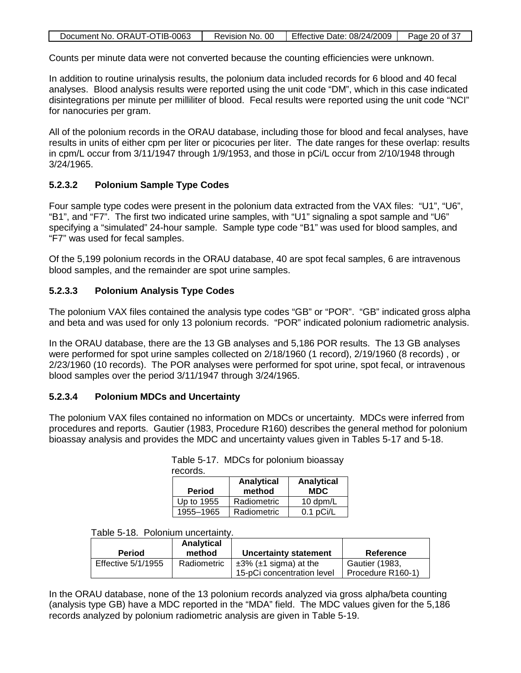| Document No. ORAUT-OTIB-0063 | Revision No. 00 | Firective Date: $08/24/2009$ | Page 20 of 37 |
|------------------------------|-----------------|------------------------------|---------------|

Counts per minute data were not converted because the counting efficiencies were unknown.

In addition to routine urinalysis results, the polonium data included records for 6 blood and 40 fecal analyses. Blood analysis results were reported using the unit code "DM", which in this case indicated disintegrations per minute per milliliter of blood. Fecal results were reported using the unit code "NCI" for nanocuries per gram.

All of the polonium records in the ORAU database, including those for blood and fecal analyses, have results in units of either cpm per liter or picocuries per liter. The date ranges for these overlap: results in cpm/L occur from 3/11/1947 through 1/9/1953, and those in pCi/L occur from 2/10/1948 through 3/24/1965.

### **5.2.3.2 Polonium Sample Type Codes**

Four sample type codes were present in the polonium data extracted from the VAX files: "U1", "U6", "B1", and "F7". The first two indicated urine samples, with "U1" signaling a spot sample and "U6" specifying a "simulated" 24-hour sample. Sample type code "B1" was used for blood samples, and "F7" was used for fecal samples.

Of the 5,199 polonium records in the ORAU database, 40 are spot fecal samples, 6 are intravenous blood samples, and the remainder are spot urine samples.

### **5.2.3.3 Polonium Analysis Type Codes**

The polonium VAX files contained the analysis type codes "GB" or "POR". "GB" indicated gross alpha and beta and was used for only 13 polonium records. "POR" indicated polonium radiometric analysis.

In the ORAU database, there are the 13 GB analyses and 5,186 POR results. The 13 GB analyses were performed for spot urine samples collected on 2/18/1960 (1 record), 2/19/1960 (8 records) , or 2/23/1960 (10 records). The POR analyses were performed for spot urine, spot fecal, or intravenous blood samples over the period 3/11/1947 through 3/24/1965.

### **5.2.3.4 Polonium MDCs and Uncertainty**

The polonium VAX files contained no information on MDCs or uncertainty. MDCs were inferred from procedures and reports. Gautier (1983, Procedure R160) describes the general method for polonium bioassay analysis and provides the MDC and uncertainty values given in Tables 5-17 and 5-18.

| records.      |                      |                          |  |  |  |
|---------------|----------------------|--------------------------|--|--|--|
| <b>Period</b> | Analytical<br>method | Analytical<br><b>MDC</b> |  |  |  |
| Up to 1955    | Radiometric          | 10 dpm/L                 |  |  |  |
| 1955-1965     | Radiometric          | $0.1$ pCi/L              |  |  |  |

# Table 5-17. MDCs for polonium bioassay

#### Table 5-18. Polonium uncertainty.

| <b>Period</b>             | Analytical<br>method | Uncertainty statement             | Reference             |
|---------------------------|----------------------|-----------------------------------|-----------------------|
| <b>Effective 5/1/1955</b> | Radiometric          | $\pm 3\%$ ( $\pm 1$ sigma) at the | <b>Gautier (1983,</b> |
|                           |                      | 15-pCi concentration level        | Procedure R160-1)     |

In the ORAU database, none of the 13 polonium records analyzed via gross alpha/beta counting (analysis type GB) have a MDC reported in the "MDA" field. The MDC values given for the 5,186 records analyzed by polonium radiometric analysis are given in Table 5-19.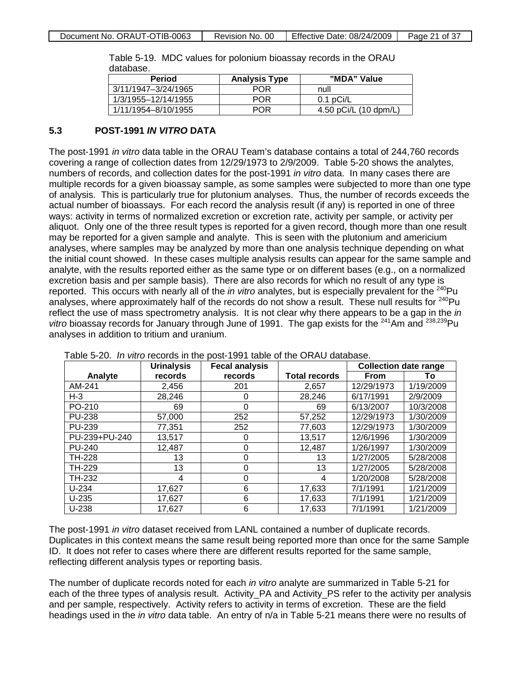| ualabase.           |                      |                       |  |  |  |
|---------------------|----------------------|-----------------------|--|--|--|
| <b>Period</b>       | <b>Analysis Type</b> | "MDA" Value           |  |  |  |
| 3/11/1947-3/24/1965 | <b>POR</b>           | null                  |  |  |  |
| 1/3/1955-12/14/1955 | <b>POR</b>           | $0.1$ pCi/L           |  |  |  |
| 1/11/1954-8/10/1955 | <b>POR</b>           | 4.50 pCi/L (10 dpm/L) |  |  |  |

Table 5-19. MDC values for polonium bioassay records in the ORAU database.

#### **5.3 POST-1991** *IN VITRO* **DATA**

The post-1991 *in vitro* data table in the ORAU Team's database contains a total of 244,760 records covering a range of collection dates from 12/29/1973 to 2/9/2009. Table 5-20 shows the analytes, numbers of records, and collection dates for the post-1991 *in vitro* data. In many cases there are multiple records for a given bioassay sample, as some samples were subjected to more than one type of analysis. This is particularly true for plutonium analyses. Thus, the number of records exceeds the actual number of bioassays. For each record the analysis result (if any) is reported in one of three ways: activity in terms of normalized excretion or excretion rate, activity per sample, or activity per aliquot. Only one of the three result types is reported for a given record, though more than one result may be reported for a given sample and analyte. This is seen with the plutonium and americium analyses, where samples may be analyzed by more than one analysis technique depending on what the initial count showed. In these cases multiple analysis results can appear for the same sample and analyte, with the results reported either as the same type or on different bases (e.g., on a normalized excretion basis and per sample basis). There are also records for which no result of any type is reported. This occurs with nearly all of the *in vitro* analytes, but is especially prevalent for the <sup>240</sup>Pu analyses, where approximately half of the records do not show a result. These null results for  $^{240}$ Pu reflect the use of mass spectrometry analysis. It is not clear why there appears to be a gap in the *in vitro* bioassay records for January through June of 1991. The gap exists for the <sup>241</sup>Am and <sup>238,239</sup>Pu analyses in addition to tritium and uranium.

|               | <b>Urinalysis</b> | <b>Fecal analysis</b> |                      | <b>Collection date range</b> |           |
|---------------|-------------------|-----------------------|----------------------|------------------------------|-----------|
| Analyte       | records           | records               | <b>Total records</b> | <b>From</b>                  | To        |
| AM-241        | 2,456             | 201                   | 2,657                | 12/29/1973                   | 1/19/2009 |
| $H-3$         | 28,246            | 0                     | 28,246               | 6/17/1991                    | 2/9/2009  |
| PO-210        | 69                | 0                     | 69                   | 6/13/2007                    | 10/3/2008 |
| <b>PU-238</b> | 57,000            | 252                   | 57,252               | 12/29/1973                   | 1/30/2009 |
| <b>PU-239</b> | 77,351            | 252                   | 77,603               | 12/29/1973                   | 1/30/2009 |
| PU-239+PU-240 | 13,517            | 0                     | 13,517               | 12/6/1996                    | 1/30/2009 |
| <b>PU-240</b> | 12,487            | $\Omega$              | 12,487               | 1/26/1997                    | 1/30/2009 |
| <b>TH-228</b> | 13                | 0                     | 13                   | 1/27/2005                    | 5/28/2008 |
| TH-229        | 13                | 0                     | 13                   | 1/27/2005                    | 5/28/2008 |
| TH-232        | 4                 | 0                     | 4                    | 1/20/2008                    | 5/28/2008 |
| $U-234$       | 17,627            | 6                     | 17,633               | 7/1/1991                     | 1/21/2009 |
| $U-235$       | 17,627            | 6                     | 17,633               | 7/1/1991                     | 1/21/2009 |
| $U-238$       | 17,627            | 6                     | 17,633               | 7/1/1991                     | 1/21/2009 |

Table 5-20. *In vitro* records in the post-1991 table of the ORAU database.

The post-1991 *in vitro* dataset received from LANL contained a number of duplicate records. Duplicates in this context means the same result being reported more than once for the same Sample ID. It does not refer to cases where there are different results reported for the same sample, reflecting different analysis types or reporting basis.

The number of duplicate records noted for each *in vitro* analyte are summarized in Table 5-21 for each of the three types of analysis result. Activity\_PA and Activity\_PS refer to the activity per analysis and per sample, respectively. Activity refers to activity in terms of excretion. These are the field headings used in the *in vitro* data table. An entry of n/a in Table 5-21 means there were no results of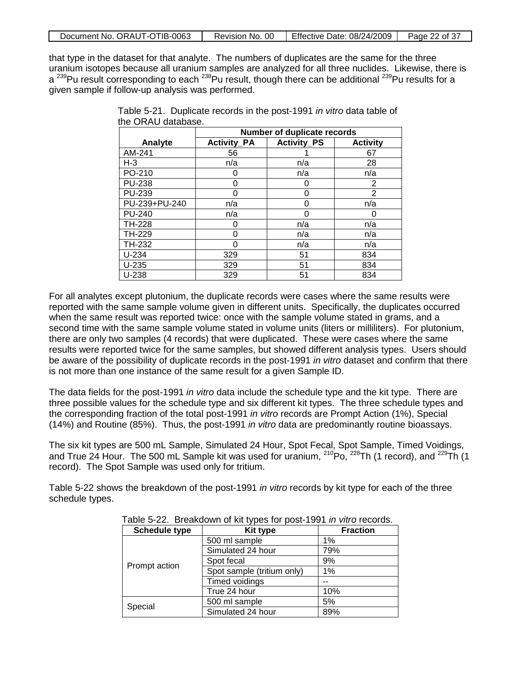| Document No. ORAUT-OTIB-0063 | Revision No. 00 | Effective Date: 08/24/2009 | Page 22 of 37 |
|------------------------------|-----------------|----------------------------|---------------|

that type in the dataset for that analyte. The numbers of duplicates are the same for the three uranium isotopes because all uranium samples are analyzed for all three nuclides. Likewise, there is a 239Pu result corresponding to each <sup>238</sup>Pu result, though there can be additional <sup>239</sup>Pu results for a given sample if follow-up analysis was performed.

|               | Number of duplicate records |                    |                 |  |
|---------------|-----------------------------|--------------------|-----------------|--|
| Analyte       | <b>Activity_PA</b>          | <b>Activity_PS</b> | <b>Activity</b> |  |
| AM-241        | 56                          |                    | 67              |  |
| $H-3$         | n/a                         | n/a                | 28              |  |
| PO-210        | 0                           | n/a                | n/a             |  |
| <b>PU-238</b> | 0                           | O                  | 2               |  |
| PU-239        | 0                           | ი                  | 2               |  |
| PU-239+PU-240 | n/a                         | ი                  | n/a             |  |
| <b>PU-240</b> | n/a                         | O                  |                 |  |
| TH-228        | 0                           | n/a                | n/a             |  |
| TH-229        | 0                           | n/a                | n/a             |  |
| TH-232        | 0                           | n/a                | n/a             |  |
| $U-234$       | 329                         | 51                 | 834             |  |
| $U-235$       | 329                         | 51                 | 834             |  |
| U-238         | 329                         | 51                 | 834             |  |

Table 5-21. Duplicate records in the post-1991 *in vitro* data table of the ORAU database.

For all analytes except plutonium, the duplicate records were cases where the same results were reported with the same sample volume given in different units. Specifically, the duplicates occurred when the same result was reported twice: once with the sample volume stated in grams, and a second time with the same sample volume stated in volume units (liters or milliliters). For plutonium, there are only two samples (4 records) that were duplicated. These were cases where the same results were reported twice for the same samples, but showed different analysis types. Users should be aware of the possibility of duplicate records in the post-1991 *in vitro* dataset and confirm that there is not more than one instance of the same result for a given Sample ID.

The data fields for the post-1991 *in vitro* data include the schedule type and the kit type. There are three possible values for the schedule type and six different kit types. The three schedule types and the corresponding fraction of the total post-1991 *in vitro* records are Prompt Action (1%), Special (14%) and Routine (85%). Thus, the post-1991 *in vitro* data are predominantly routine bioassays.

The six kit types are 500 mL Sample, Simulated 24 Hour, Spot Fecal, Spot Sample, Timed Voidings, and True 24 Hour. The 500 mL Sample kit was used for uranium, <sup>210</sup>Po, <sup>228</sup>Th (1 record), and <sup>229</sup>Th (1 record). The Spot Sample was used only for tritium.

Table 5-22 shows the breakdown of the post-1991 *in vitro* records by kit type for each of the three schedule types.

| <b>Schedule type</b> | <b>Kit type</b>            | <b>Fraction</b> |
|----------------------|----------------------------|-----------------|
|                      | 500 ml sample              | 1%              |
|                      | Simulated 24 hour          | 79%             |
| Prompt action        | Spot fecal                 | 9%              |
|                      | Spot sample (tritium only) | 1%              |
|                      | Timed voidings             |                 |
|                      | True 24 hour               | 10%             |
|                      | 500 ml sample              | 5%              |
| Special              | Simulated 24 hour          | 89%             |

Table 5-22. Breakdown of kit types for post-1991 *in vitro* records.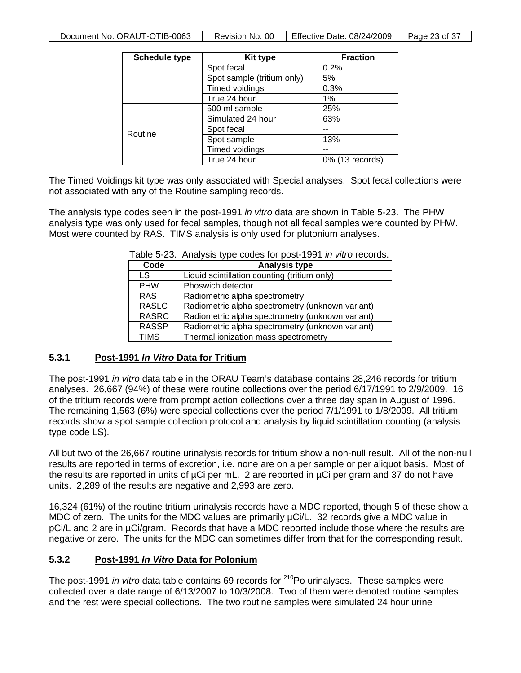| Document No. ORAUT-OTIB-0063 | Revision No. 00 | Effective Date: 08/24/2009 | Page 23 of 37 |
|------------------------------|-----------------|----------------------------|---------------|
|------------------------------|-----------------|----------------------------|---------------|

| <b>Schedule type</b> | <b>Kit type</b>            | <b>Fraction</b> |
|----------------------|----------------------------|-----------------|
|                      | Spot fecal                 | 0.2%            |
|                      | Spot sample (tritium only) | 5%              |
|                      | Timed voidings             | 0.3%            |
|                      | True 24 hour               | 1%              |
|                      | 500 ml sample              | 25%             |
|                      | Simulated 24 hour          | 63%             |
| Routine              | Spot fecal                 |                 |
|                      | Spot sample                | 13%             |
|                      | Timed voidings             |                 |
|                      | True 24 hour               | 0% (13 records) |

The Timed Voidings kit type was only associated with Special analyses. Spot fecal collections were not associated with any of the Routine sampling records.

The analysis type codes seen in the post-1991 *in vitro* data are shown in Table 5-23. The PHW analysis type was only used for fecal samples, though not all fecal samples were counted by PHW. Most were counted by RAS. TIMS analysis is only used for plutonium analyses.

|              | $\frac{1}{2}$ able 0-20. Analysis type coues for post-1991 <i>In vitit</i> records. |
|--------------|-------------------------------------------------------------------------------------|
| Code         | <b>Analysis type</b>                                                                |
| LS           | Liquid scintillation counting (tritium only)                                        |
| <b>PHW</b>   | Phoswich detector                                                                   |
| <b>RAS</b>   | Radiometric alpha spectrometry                                                      |
| <b>RASLC</b> | Radiometric alpha spectrometry (unknown variant)                                    |
| <b>RASRC</b> | Radiometric alpha spectrometry (unknown variant)                                    |
| <b>RASSP</b> | Radiometric alpha spectrometry (unknown variant)                                    |
| <b>TIMS</b>  | Thermal ionization mass spectrometry                                                |

|  |  |  |  | Table 5-23. Analysis type codes for post-1991 in vitro records. |
|--|--|--|--|-----------------------------------------------------------------|
|--|--|--|--|-----------------------------------------------------------------|

#### **5.3.1 Post-1991** *In Vitro* **Data for Tritium**

The post-1991 *in vitro* data table in the ORAU Team's database contains 28,246 records for tritium analyses. 26,667 (94%) of these were routine collections over the period 6/17/1991 to 2/9/2009. 16 of the tritium records were from prompt action collections over a three day span in August of 1996. The remaining 1,563 (6%) were special collections over the period 7/1/1991 to 1/8/2009. All tritium records show a spot sample collection protocol and analysis by liquid scintillation counting (analysis type code LS).

All but two of the 26,667 routine urinalysis records for tritium show a non-null result. All of the non-null results are reported in terms of excretion, i.e. none are on a per sample or per aliquot basis. Most of the results are reported in units of µCi per mL. 2 are reported in µCi per gram and 37 do not have units. 2,289 of the results are negative and 2,993 are zero.

16,324 (61%) of the routine tritium urinalysis records have a MDC reported, though 5 of these show a MDC of zero. The units for the MDC values are primarily  $\mu$ Ci/L. 32 records give a MDC value in pCi/L and 2 are in  $\mu$ Ci/gram. Records that have a MDC reported include those where the results are negative or zero. The units for the MDC can sometimes differ from that for the corresponding result.

#### **5.3.2 Post-1991** *In Vitro* **Data for Polonium**

The post-1991 *in vitro* data table contains 69 records for <sup>210</sup>Po urinalyses. These samples were collected over a date range of 6/13/2007 to 10/3/2008. Two of them were denoted routine samples and the rest were special collections. The two routine samples were simulated 24 hour urine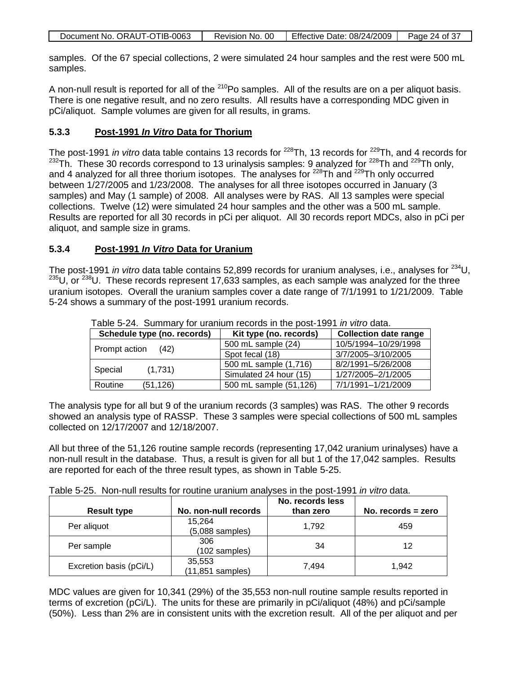| Document No. ORAUT-OTIB-0063 | Revision No. 00 | Effective Date: 08/24/2009 | Page 24 of 37 |
|------------------------------|-----------------|----------------------------|---------------|

samples. Of the 67 special collections, 2 were simulated 24 hour samples and the rest were 500 mL samples.

A non-null result is reported for all of the <sup>210</sup>Po samples. All of the results are on a per aliquot basis. There is one negative result, and no zero results. All results have a corresponding MDC given in pCi/aliquot. Sample volumes are given for all results, in grams.

#### **5.3.3 Post-1991** *In Vitro* **Data for Thorium**

The post-1991 *in vitro* data table contains 13 records for <sup>228</sup>Th, 13 records for <sup>229</sup>Th, and 4 records for  $232$ Th. These 30 records correspond to 13 urinalysis samples: 9 analyzed for  $228$ Th and  $229$ Th only, and 4 analyzed for all three thorium isotopes. The analyses for  $^{228}$ Th and  $^{229}$ Th only occurred between 1/27/2005 and 1/23/2008. The analyses for all three isotopes occurred in January (3 samples) and May (1 sample) of 2008. All analyses were by RAS. All 13 samples were special collections. Twelve (12) were simulated 24 hour samples and the other was a 500 mL sample. Results are reported for all 30 records in pCi per aliquot. All 30 records report MDCs, also in pCi per aliquot, and sample size in grams.

#### **5.3.4 Post-1991** *In Vitro* **Data for Uranium**

The post-1991 *in vitro* data table contains 52,899 records for uranium analyses, i.e., analyses for 234U,  $235U$ , or  $238U$ . These records represent 17,633 samples, as each sample was analyzed for the three uranium isotopes. Overall the uranium samples cover a date range of 7/1/1991 to 1/21/2009. Table 5-24 shows a summary of the post-1991 uranium records.

| Schedule type (no. records) | Kit type (no. records) | <b>Collection date range</b> |  |
|-----------------------------|------------------------|------------------------------|--|
|                             | 500 mL sample (24)     | 10/5/1994-10/29/1998         |  |
| Prompt action<br>(42)       | Spot fecal (18)        | 3/7/2005-3/10/2005           |  |
| (1,731)<br>Special          | 500 mL sample (1,716)  | 8/2/1991-5/26/2008           |  |
|                             | Simulated 24 hour (15) | 1/27/2005-2/1/2005           |  |
| (51, 126)<br>Routine        | 500 mL sample (51,126) | 7/1/1991-1/21/2009           |  |

Table 5-24. Summary for uranium records in the post-1991 *in vitro* data.

The analysis type for all but 9 of the uranium records (3 samples) was RAS. The other 9 records showed an analysis type of RASSP. These 3 samples were special collections of 500 mL samples collected on 12/17/2007 and 12/18/2007.

All but three of the 51,126 routine sample records (representing 17,042 uranium urinalyses) have a non-null result in the database. Thus, a result is given for all but 1 of the 17,042 samples. Results are reported for each of the three result types, as shown in Table 5-25.

|  | Table 5-25. Non-null results for routine uranium analyses in the post-1991 in vitro data. |  |  |  |  |  |
|--|-------------------------------------------------------------------------------------------|--|--|--|--|--|
|--|-------------------------------------------------------------------------------------------|--|--|--|--|--|

| <b>Result type</b>      | No. non-null records          | No. records less<br>than zero | No. records $=$ zero |
|-------------------------|-------------------------------|-------------------------------|----------------------|
|                         |                               |                               |                      |
| Per aliquot             | 15,264<br>$(5,088$ samples)   | 1.792                         | 459                  |
| Per sample              | 306<br>(102 samples)          | 34                            | 12                   |
| Excretion basis (pCi/L) | 35,553<br>$(11, 851$ samples) | 7.494                         | 1.942                |

MDC values are given for 10,341 (29%) of the 35,553 non-null routine sample results reported in terms of excretion (pCi/L). The units for these are primarily in pCi/aliquot (48%) and pCi/sample (50%). Less than 2% are in consistent units with the excretion result. All of the per aliquot and per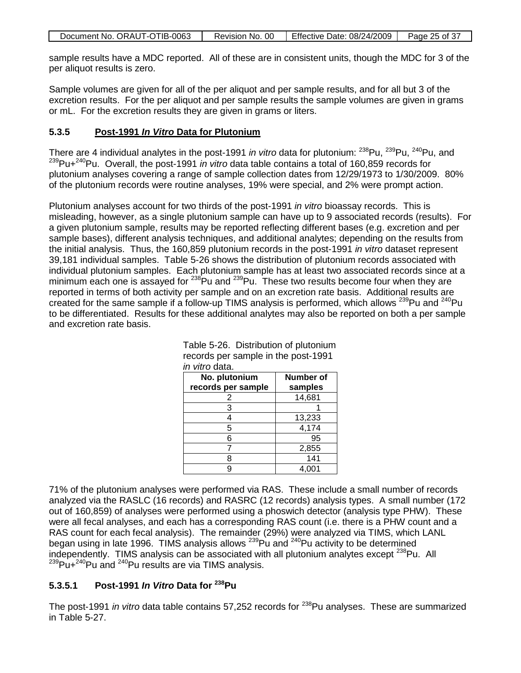| Document No. ORAUT-OTIB-0063 | Revision No. 00 | Effective Date: 08/24/2009 | Page 25 of 37 |
|------------------------------|-----------------|----------------------------|---------------|

sample results have a MDC reported. All of these are in consistent units, though the MDC for 3 of the per aliquot results is zero.

Sample volumes are given for all of the per aliquot and per sample results, and for all but 3 of the excretion results. For the per aliquot and per sample results the sample volumes are given in grams or mL. For the excretion results they are given in grams or liters.

#### **5.3.5 Post-1991** *In Vitro* **Data for Plutonium**

There are 4 individual analytes in the post-1991 *in vitro* data for plutonium: <sup>238</sup>Pu, <sup>239</sup>Pu, <sup>240</sup>Pu, and 239Pu+240Pu. Overall, the post-1991 *in vitro* data table contains a total of 160,859 records for plutonium analyses covering a range of sample collection dates from 12/29/1973 to 1/30/2009. 80% of the plutonium records were routine analyses, 19% were special, and 2% were prompt action.

Plutonium analyses account for two thirds of the post-1991 *in vitro* bioassay records. This is misleading, however, as a single plutonium sample can have up to 9 associated records (results). For a given plutonium sample, results may be reported reflecting different bases (e.g. excretion and per sample bases), different analysis techniques, and additional analytes; depending on the results from the initial analysis. Thus, the 160,859 plutonium records in the post-1991 *in vitro* dataset represent 39,181 individual samples. Table 5-26 shows the distribution of plutonium records associated with individual plutonium samples. Each plutonium sample has at least two associated records since at a minimum each one is assayed for  $238$ Pu and  $239$ Pu. These two results become four when they are reported in terms of both activity per sample and on an excretion rate basis. Additional results are created for the same sample if a follow-up TIMS analysis is performed, which allows  $^{239}$ Pu and  $^{240}$ Pu to be differentiated. Results for these additional analytes may also be reported on both a per sample and excretion rate basis.

| No. plutonium      | <b>Number of</b> |
|--------------------|------------------|
| records per sample | samples          |
| 2                  | 14,681           |
| 3                  |                  |
| 4                  | 13,233           |
| 5                  | 4,174            |
| 6                  | 95               |
|                    | 2,855            |
| 8                  | 141              |
| a                  |                  |

|                       | Table 5-26. Distribution of plutonium |
|-----------------------|---------------------------------------|
|                       | records per sample in the post-1991   |
| <i>in vitro</i> data. |                                       |

71% of the plutonium analyses were performed via RAS. These include a small number of records analyzed via the RASLC (16 records) and RASRC (12 records) analysis types. A small number (172 out of 160,859) of analyses were performed using a phoswich detector (analysis type PHW). These were all fecal analyses, and each has a corresponding RAS count (i.e. there is a PHW count and a RAS count for each fecal analysis). The remainder (29%) were analyzed via TIMS, which LANL began using in late 1996. TIMS analysis allows <sup>239</sup>Pu and <sup>240</sup>Pu activity to be determined independently. TIMS analysis can be associated with all plutonium analytes except <sup>238</sup>Pu. All  $^{239}$ Pu+<sup>240</sup>Pu and <sup>240</sup>Pu results are via TIMS analysis.

### **5.3.5.1 Post-1991** *In Vitro* **Data for 238Pu**

The post-1991 *in vitro* data table contains 57,252 records for <sup>238</sup>Pu analyses. These are summarized in Table 5-27.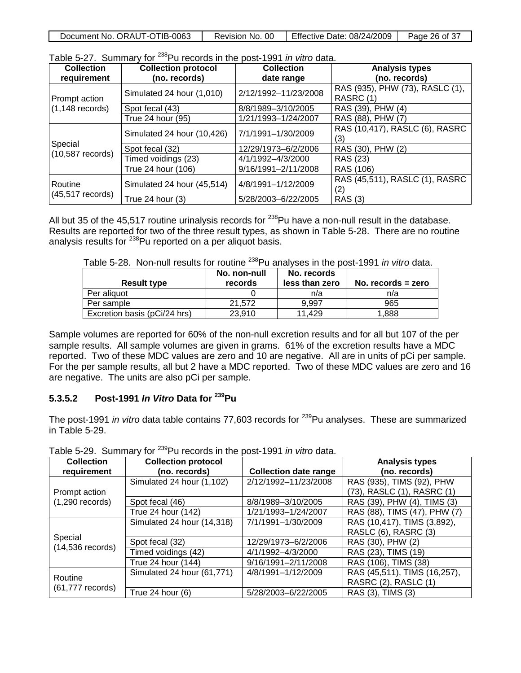| Document No. ORAUT-OTIB-0063 | Revision No. 00 | Effective Date: 08/24/2009 | Page 26 of 37 |
|------------------------------|-----------------|----------------------------|---------------|

| <b>Collection</b>             | <b>Collection protocol</b> | <b>Collection</b>    | <b>Analysis types</b>                       |
|-------------------------------|----------------------------|----------------------|---------------------------------------------|
| requirement                   | (no. records)              | date range           | (no. records)                               |
| Prompt action                 | Simulated 24 hour (1,010)  | 2/12/1992-11/23/2008 | RAS (935), PHW (73), RASLC (1),<br>RASRC(1) |
| $(1, 148$ records)            | Spot fecal (43)            | 8/8/1989-3/10/2005   | RAS (39), PHW (4)                           |
|                               | True 24 hour (95)          | 1/21/1993-1/24/2007  | RAS (88), PHW (7)                           |
|                               | Simulated 24 hour (10,426) | 7/1/1991-1/30/2009   | RAS (10,417), RASLC (6), RASRC<br>(3)       |
| Special<br>$(10,587$ records) | Spot fecal (32)            | 12/29/1973-6/2/2006  | RAS (30), PHW (2)                           |
|                               | Timed voidings (23)        | 4/1/1992-4/3/2000    | RAS (23)                                    |
|                               | True 24 hour (106)         | 9/16/1991-2/11/2008  | RAS (106)                                   |
| Routine                       | Simulated 24 hour (45,514) | 4/8/1991-1/12/2009   | RAS (45,511), RASLC (1), RASRC<br>(2)       |
| $(45,517$ records)            | True 24 hour (3)           | 5/28/2003-6/22/2005  | <b>RAS (3)</b>                              |

Table 5-27. Summary for 238Pu records in the post-1991 *in vitro* data.

All but 35 of the 45,517 routine urinalysis records for  $^{238}$ Pu have a non-null result in the database. Results are reported for two of the three result types, as shown in Table 5-28. There are no routine analysis results for  $238$ Pu reported on a per aliquot basis.

| Table 5-28. Non-null results for routine <sup>238</sup> Pu analyses in the post-1991 <i>in vitro</i> data. |  |  |
|------------------------------------------------------------------------------------------------------------|--|--|
|------------------------------------------------------------------------------------------------------------|--|--|

| <b>Result type</b>           | No. non-null<br>records | No. records<br>less than zero | No. records $=$ zero |
|------------------------------|-------------------------|-------------------------------|----------------------|
| Per aliguot                  |                         | n/a                           | n/a                  |
| Per sample                   | 21.572                  | 9.997                         | 965                  |
| Excretion basis (pCi/24 hrs) | 23.910                  | 11.429                        | 1.888                |

Sample volumes are reported for 60% of the non-null excretion results and for all but 107 of the per sample results. All sample volumes are given in grams. 61% of the excretion results have a MDC reported. Two of these MDC values are zero and 10 are negative. All are in units of pCi per sample. For the per sample results, all but 2 have a MDC reported. Two of these MDC values are zero and 16 are negative. The units are also pCi per sample.

### **5.3.5.2 Post-1991** *In Vitro* **Data for 239Pu**

The post-1991 *in vitro* data table contains 77,603 records for <sup>239</sup>Pu analyses. These are summarized in Table 5-29.

| <b>Collection</b><br>requirement | <b>Collection protocol</b><br>(no. records) | <b>Collection date range</b> | <b>Analysis types</b><br>(no. records) |
|----------------------------------|---------------------------------------------|------------------------------|----------------------------------------|
|                                  |                                             |                              |                                        |
|                                  | Simulated 24 hour (1,102)                   | 2/12/1992-11/23/2008         | RAS (935), TIMS (92), PHW              |
| Prompt action                    |                                             |                              | (73), RASLC (1), RASRC (1)             |
| $(1,290$ records)                | Spot fecal (46)                             | 8/8/1989-3/10/2005           | RAS (39), PHW (4), TIMS (3)            |
|                                  | True 24 hour (142)                          | 1/21/1993-1/24/2007          | RAS (88), TIMS (47), PHW (7)           |
|                                  | Simulated 24 hour (14,318)                  | 7/1/1991-1/30/2009           | RAS (10,417), TIMS (3,892),            |
|                                  |                                             |                              | RASLC (6), RASRC (3)                   |
| Special<br>$(14,536$ records)    | Spot fecal (32)                             | 12/29/1973-6/2/2006          | RAS (30), PHW (2)                      |
|                                  | Timed voidings (42)                         | 4/1/1992-4/3/2000            | RAS (23), TIMS (19)                    |
|                                  | True 24 hour (144)                          | 9/16/1991-2/11/2008          | RAS (106), TIMS (38)                   |
| Routine                          | Simulated 24 hour (61,771)                  | 4/8/1991-1/12/2009           | RAS (45,511), TIMS (16,257),           |
|                                  |                                             |                              | RASRC (2), RASLC (1)                   |
| $(61,777$ records)               | True 24 hour $(6)$                          | 5/28/2003-6/22/2005          | RAS (3), TIMS (3)                      |

Table 5-29. Summary for 239Pu records in the post-1991 *in vitro* data.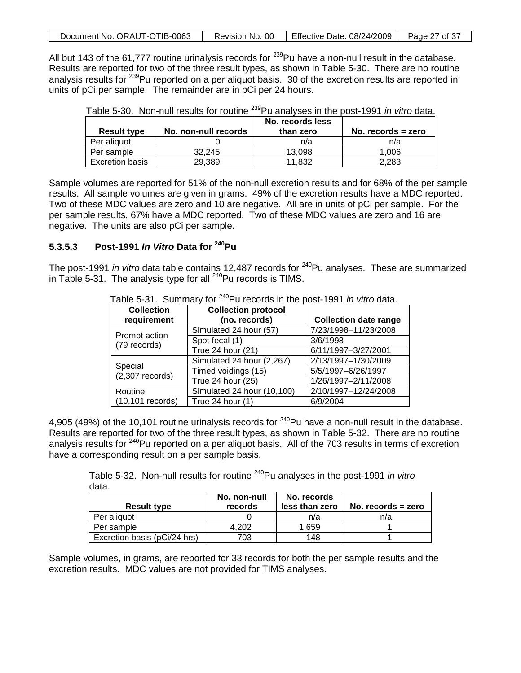|  | Document No. ORAUT-OTIB-0063 | Revision No. 00 | Effective Date: 08/24/2009 | Page 27 of 37 |
|--|------------------------------|-----------------|----------------------------|---------------|
|--|------------------------------|-----------------|----------------------------|---------------|

All but 143 of the 61,777 routine urinalysis records for <sup>239</sup>Pu have a non-null result in the database. Results are reported for two of the three result types, as shown in Table 5-30. There are no routine analysis results for <sup>239</sup>Pu reported on a per aliquot basis. 30 of the excretion results are reported in units of pCi per sample. The remainder are in pCi per 24 hours.

| <b>Result type</b>     | No. non-null records | No. records less<br>than zero | No. records $=$ zero |
|------------------------|----------------------|-------------------------------|----------------------|
| Per aliquot            |                      | n/a                           | n/a                  |
| Per sample             | 32.245               | 13.098                        | 1.006                |
| <b>Excretion basis</b> | 29,389               | 11.832                        | 2.283                |

|  | Table 5-30. Non-null results for routine <sup>239</sup> Pu analyses in the post-1991 <i>in vitro</i> data. |  |  |  |  |  |  |  |  |  |
|--|------------------------------------------------------------------------------------------------------------|--|--|--|--|--|--|--|--|--|
|--|------------------------------------------------------------------------------------------------------------|--|--|--|--|--|--|--|--|--|

Sample volumes are reported for 51% of the non-null excretion results and for 68% of the per sample results. All sample volumes are given in grams. 49% of the excretion results have a MDC reported. Two of these MDC values are zero and 10 are negative. All are in units of pCi per sample. For the per sample results, 67% have a MDC reported. Two of these MDC values are zero and 16 are negative. The units are also pCi per sample.

#### **5.3.5.3 Post-1991** *In Vitro* **Data for 240Pu**

The post-1991 *in vitro* data table contains 12,487 records for <sup>240</sup>Pu analyses. These are summarized in Table 5-31. The analysis type for all  $240$ Pu records is TIMS.

| <b>Collection</b>             | <b>Collection protocol</b> |                              |
|-------------------------------|----------------------------|------------------------------|
| requirement                   | (no. records)              | <b>Collection date range</b> |
|                               | Simulated 24 hour (57)     | 7/23/1998-11/23/2008         |
| Prompt action<br>(79 records) | Spot fecal (1)             | 3/6/1998                     |
|                               | True 24 hour (21)          | 6/11/1997-3/27/2001          |
|                               | Simulated 24 hour (2,267)  | 2/13/1997-1/30/2009          |
| Special<br>$(2,307$ records)  | Timed voidings (15)        | 5/5/1997-6/26/1997           |
|                               | True 24 hour (25)          | 1/26/1997-2/11/2008          |
| Routine                       | Simulated 24 hour (10,100) | 2/10/1997-12/24/2008         |
| $(10, 101$ records)           | True 24 hour (1)           | 6/9/2004                     |

Table 5-31. Summary for 240Pu records in the post-1991 *in vitro* data.

4,905 (49%) of the 10,101 routine urinalysis records for <sup>240</sup>Pu have a non-null result in the database. Results are reported for two of the three result types, as shown in Table 5-32. There are no routine analysis results for <sup>240</sup>Pu reported on a per aliquot basis. All of the 703 results in terms of excretion have a corresponding result on a per sample basis.

Table 5-32. Non-null results for routine 240Pu analyses in the post-1991 *in vitro* data.

|                              | No. non-null | No. records    |                      |
|------------------------------|--------------|----------------|----------------------|
| <b>Result type</b>           | records      | less than zero | No. records $=$ zero |
| Per aliquot                  |              | n/a            | n/a                  |
| Per sample                   | 4.202        | 1.659          |                      |
| Excretion basis (pCi/24 hrs) | 703          | 148            |                      |

Sample volumes, in grams, are reported for 33 records for both the per sample results and the excretion results. MDC values are not provided for TIMS analyses.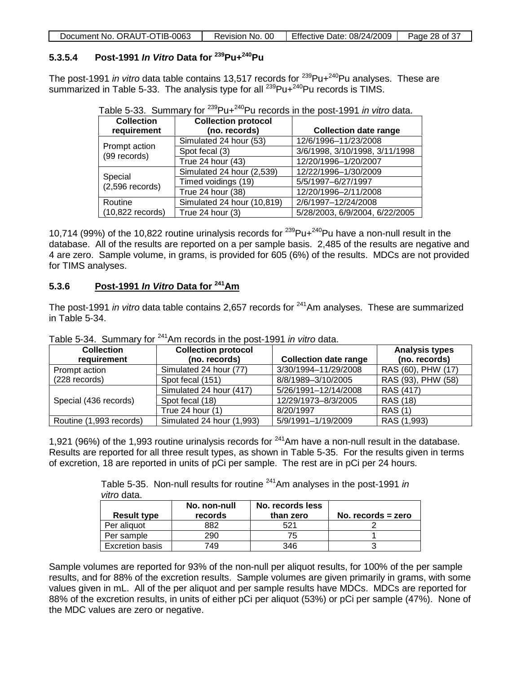| Document No. ORAUT-OTIB-0063 | Revision No. 00 | Effective Date: 08/24/2009 | Page 28 of 37 |
|------------------------------|-----------------|----------------------------|---------------|

### **5.3.5.4 Post-1991** *In Vitro* **Data for 239Pu+240Pu**

The post-1991 *in vitro* data table contains 13,517 records for <sup>239</sup>Pu+<sup>240</sup>Pu analyses. These are summarized in Table 5-33. The analysis type for all  $^{239}$ Pu $+^{240}$ Pu records is TIMS.

| <b>Collection</b>  | <b>Collection protocol</b> |                                |
|--------------------|----------------------------|--------------------------------|
| requirement        | (no. records)              | <b>Collection date range</b>   |
| Prompt action      | Simulated 24 hour (53)     | 12/6/1996-11/23/2008           |
| (99 records)       | Spot fecal (3)             | 3/6/1998, 3/10/1998, 3/11/1998 |
|                    | True 24 hour (43)          | 12/20/1996-1/20/2007           |
| Special            | Simulated 24 hour (2,539)  | 12/22/1996-1/30/2009           |
| $(2,596$ records)  | Timed voidings (19)        | 5/5/1997-6/27/1997             |
|                    | True 24 hour (38)          | 12/20/1996-2/11/2008           |
| Routine            | Simulated 24 hour (10,819) | 2/6/1997-12/24/2008            |
| $(10,822$ records) | True 24 hour $(3)$         | 5/28/2003, 6/9/2004, 6/22/2005 |

Table 5-33. Summary for 239Pu+240Pu records in the post-1991 *in vitro* data.

10,714 (99%) of the 10,822 routine urinalysis records for <sup>239</sup>Pu+<sup>240</sup>Pu have a non-null result in the database. All of the results are reported on a per sample basis. 2,485 of the results are negative and 4 are zero. Sample volume, in grams, is provided for 605 (6%) of the results. MDCs are not provided for TIMS analyses.

#### **5.3.6 Post-1991** *In Vitro* **Data for 241Am**

The post-1991 *in vitro* data table contains 2,657 records for <sup>241</sup>Am analyses. These are summarized in Table 5-34.

| <b>Collection</b>       | <b>Collection protocol</b> |                              | <b>Analysis types</b> |
|-------------------------|----------------------------|------------------------------|-----------------------|
| requirement             | (no. records)              | <b>Collection date range</b> | (no. records)         |
| Prompt action           | Simulated 24 hour (77)     | 3/30/1994-11/29/2008         | RAS (60), PHW (17)    |
| (228 records)           | Spot fecal (151)           | 8/8/1989-3/10/2005           | RAS (93), PHW (58)    |
|                         | Simulated 24 hour (417)    | 5/26/1991-12/14/2008         | RAS (417)             |
| Special (436 records)   | Spot fecal (18)            | 12/29/1973-8/3/2005          | RAS (18)              |
|                         | True 24 hour $(1)$         | 8/20/1997                    | <b>RAS</b> (1)        |
| Routine (1,993 records) | Simulated 24 hour (1,993)  | 5/9/1991-1/19/2009           | RAS (1,993)           |

Table 5-34. Summary for 241Am records in the post-1991 *in vitro* data.

1,921 (96%) of the 1,993 routine urinalysis records for <sup>241</sup>Am have a non-null result in the database. Results are reported for all three result types, as shown in Table 5-35. For the results given in terms of excretion, 18 are reported in units of pCi per sample. The rest are in pCi per 24 hours.

> Table 5-35. Non-null results for routine 241Am analyses in the post-1991 *in vitro* data.

| <b>Result type</b>     | No. non-null<br>records | No. records less<br>than zero | No. records $=$ zero |
|------------------------|-------------------------|-------------------------------|----------------------|
| Per aliquot            | 882                     | 521                           |                      |
| Per sample             | 290                     | 75                            |                      |
| <b>Excretion basis</b> | 749                     | 346                           |                      |

Sample volumes are reported for 93% of the non-null per aliquot results, for 100% of the per sample results, and for 88% of the excretion results. Sample volumes are given primarily in grams, with some values given in mL. All of the per aliquot and per sample results have MDCs. MDCs are reported for 88% of the excretion results, in units of either pCi per aliquot (53%) or pCi per sample (47%). None of the MDC values are zero or negative.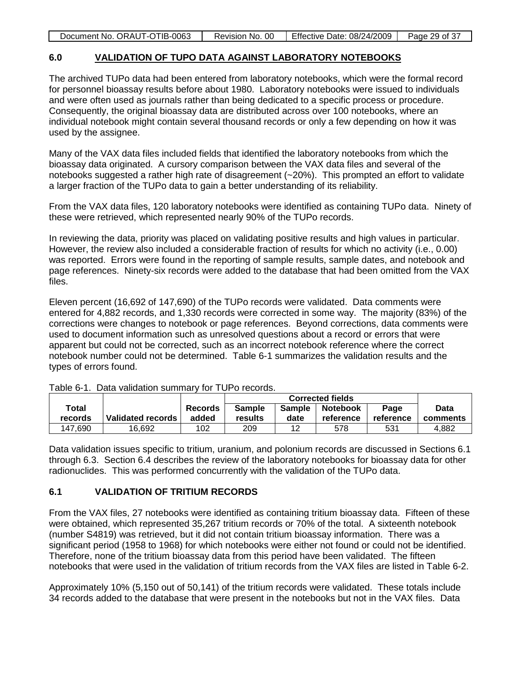|  | Document No. ORAUT-OTIB-0063 | Revision No. 00 | Effective Date: 08/24/2009 | Page 29 of 37 |
|--|------------------------------|-----------------|----------------------------|---------------|
|--|------------------------------|-----------------|----------------------------|---------------|

#### **6.0 VALIDATION OF TUPO DATA AGAINST LABORATORY NOTEBOOKS**

The archived TUPo data had been entered from laboratory notebooks, which were the formal record for personnel bioassay results before about 1980. Laboratory notebooks were issued to individuals and were often used as journals rather than being dedicated to a specific process or procedure. Consequently, the original bioassay data are distributed across over 100 notebooks, where an individual notebook might contain several thousand records or only a few depending on how it was used by the assignee.

Many of the VAX data files included fields that identified the laboratory notebooks from which the bioassay data originated. A cursory comparison between the VAX data files and several of the notebooks suggested a rather high rate of disagreement (~20%). This prompted an effort to validate a larger fraction of the TUPo data to gain a better understanding of its reliability.

From the VAX data files, 120 laboratory notebooks were identified as containing TUPo data. Ninety of these were retrieved, which represented nearly 90% of the TUPo records.

In reviewing the data, priority was placed on validating positive results and high values in particular. However, the review also included a considerable fraction of results for which no activity (i.e., 0.00) was reported. Errors were found in the reporting of sample results, sample dates, and notebook and page references. Ninety-six records were added to the database that had been omitted from the VAX files.

Eleven percent (16,692 of 147,690) of the TUPo records were validated. Data comments were entered for 4,882 records, and 1,330 records were corrected in some way. The majority (83%) of the corrections were changes to notebook or page references. Beyond corrections, data comments were used to document information such as unresolved questions about a record or errors that were apparent but could not be corrected, such as an incorrect notebook reference where the correct notebook number could not be determined. Table 6-1 summarizes the validation results and the types of errors found.

|         |                   |                |               | <b>Corrected fields</b> |                 |           |          |  |
|---------|-------------------|----------------|---------------|-------------------------|-----------------|-----------|----------|--|
| Total   |                   | <b>Records</b> | <b>Sample</b> | <b>Sample</b>           | <b>Notebook</b> | Page      | Data     |  |
| records | Validated records | added          | results       | date                    | reference       | reference | comments |  |
| 147.690 | 16.692            | 102            | 209           | 12                      | 578             | 531       | 4.882    |  |

Table 6-1. Data validation summary for TUPo records.

Data validation issues specific to tritium, uranium, and polonium records are discussed in Sections 6.1 through 6.3. Section 6.4 describes the review of the laboratory notebooks for bioassay data for other radionuclides. This was performed concurrently with the validation of the TUPo data.

### **6.1 VALIDATION OF TRITIUM RECORDS**

From the VAX files, 27 notebooks were identified as containing tritium bioassay data. Fifteen of these were obtained, which represented 35,267 tritium records or 70% of the total. A sixteenth notebook (number S4819) was retrieved, but it did not contain tritium bioassay information. There was a significant period (1958 to 1968) for which notebooks were either not found or could not be identified. Therefore, none of the tritium bioassay data from this period have been validated. The fifteen notebooks that were used in the validation of tritium records from the VAX files are listed in Table 6-2.

Approximately 10% (5,150 out of 50,141) of the tritium records were validated. These totals include 34 records added to the database that were present in the notebooks but not in the VAX files. Data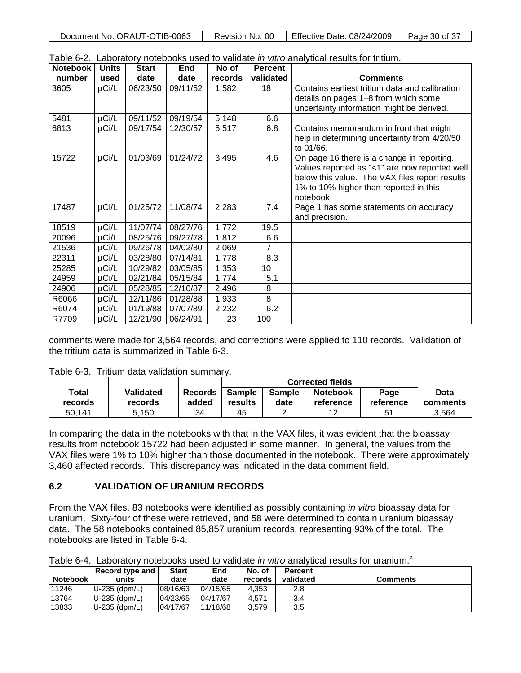| Document No. ORAUT-OTIB-0063 | Revision No. 00 | $\mid$ Effective Date: 08/24/2009   . | Page 30 of 37 |
|------------------------------|-----------------|---------------------------------------|---------------|
|                              |                 |                                       |               |

| <b>Notebook</b> | <b>Units</b> | <b>Start</b> | End      | No of   | <b>Percent</b> | $\alpha$ and $\alpha$ $\alpha$ . Earn and $\alpha$ increases to a contract the matrix and model to an analytical traditional |
|-----------------|--------------|--------------|----------|---------|----------------|------------------------------------------------------------------------------------------------------------------------------|
| number          | used         | date         | date     | records | validated      | <b>Comments</b>                                                                                                              |
| 3605            | µCi/L        | 06/23/50     | 09/11/52 | 1,582   | 18             | Contains earliest tritium data and calibration                                                                               |
|                 |              |              |          |         |                | details on pages 1-8 from which some                                                                                         |
|                 |              |              |          |         |                | uncertainty information might be derived.                                                                                    |
| 5481            | µCi/L        | 09/11/52     | 09/19/54 | 5,148   | 6.6            |                                                                                                                              |
| 6813            | $\mu$ Ci/L   | 09/17/54     | 12/30/57 | 5,517   | 6.8            | Contains memorandum in front that might                                                                                      |
|                 |              |              |          |         |                | help in determining uncertainty from 4/20/50                                                                                 |
|                 |              |              |          |         |                | to 01/66.                                                                                                                    |
| 15722           | µCi/L        | 01/03/69     | 01/24/72 | 3,495   | 4.6            | On page 16 there is a change in reporting.                                                                                   |
|                 |              |              |          |         |                | Values reported as "<1" are now reported well                                                                                |
|                 |              |              |          |         |                | below this value. The VAX files report results                                                                               |
|                 |              |              |          |         |                | 1% to 10% higher than reported in this                                                                                       |
|                 |              |              |          |         |                | notebook.                                                                                                                    |
| 17487           | µCi/L        | 01/25/72     | 11/08/74 | 2,283   | 7.4            | Page 1 has some statements on accuracy                                                                                       |
|                 |              |              |          |         |                | and precision.                                                                                                               |
| 18519           | µCi/L        | 11/07/74     | 08/27/76 | 1,772   | 19.5           |                                                                                                                              |
| 20096           | µCi/L        | 08/25/76     | 09/27/78 | 1,812   | 6.6            |                                                                                                                              |
| 21536           | µCi/L        | 09/26/78     | 04/02/80 | 2,069   |                |                                                                                                                              |
| 22311           | µCi/L        | 03/28/80     | 07/14/81 | 1,778   | 8.3            |                                                                                                                              |
| 25285           | µCi/L        | 10/29/82     | 03/05/85 | 1,353   | 10             |                                                                                                                              |
| 24959           | µCi/L        | 02/21/84     | 05/15/84 | 1,774   | 5.1            |                                                                                                                              |
| 24906           | µCi/L        | 05/28/85     | 12/10/87 | 2,496   | 8              |                                                                                                                              |
| R6066           | µCi/L        | 12/11/86     | 01/28/88 | 1,933   | 8              |                                                                                                                              |
| R6074           | µCi/L        | 01/19/88     | 07/07/89 | 2,232   | 6.2            |                                                                                                                              |
| R7709           | µCi/L        | 12/21/90     | 06/24/91 | 23      | 100            |                                                                                                                              |

Table 6-2. Laboratory notebooks used to validate *in vitro* analytical results for tritium.

comments were made for 3,564 records, and corrections were applied to 110 records. Validation of the tritium data is summarized in Table 6-3.

|  | Table 6-3. Tritium data validation summary. |  |  |  |
|--|---------------------------------------------|--|--|--|
|--|---------------------------------------------|--|--|--|

|         |                |                |               | <b>Corrected fields</b> |                 |           |          |  |  |  |
|---------|----------------|----------------|---------------|-------------------------|-----------------|-----------|----------|--|--|--|
| Total   | Validated      | <b>Records</b> | <b>Sample</b> | <b>Sample</b>           | <b>Notebook</b> | Page      | Data     |  |  |  |
| records | <b>records</b> | added          | results       | date                    | reference       | reference | comments |  |  |  |
| 50.141  | 5.150          | 34             | 45            |                         | 12              | 51        | 3.564    |  |  |  |

In comparing the data in the notebooks with that in the VAX files, it was evident that the bioassay results from notebook 15722 had been adjusted in some manner. In general, the values from the VAX files were 1% to 10% higher than those documented in the notebook. There were approximately 3,460 affected records. This discrepancy was indicated in the data comment field.

### **6.2 VALIDATION OF URANIUM RECORDS**

From the VAX files, 83 notebooks were identified as possibly containing *in vitro* bioassay data for uranium. Sixty-four of these were retrieved, and 58 were determined to contain uranium bioassay data. The 58 notebooks contained 85,857 uranium records, representing 93% of the total. The notebooks are listed in Table 6-4.

|                 | Record type and | <b>Start</b> | End      | No. of  | <b>Percent</b> |                 |
|-----------------|-----------------|--------------|----------|---------|----------------|-----------------|
| <b>Notebook</b> | units           | date         | date     | records | validated      | <b>Comments</b> |
| 11246           | U-235 (dpm/L)   | 08/16/63     | 04/15/65 | 4.353   | 2.8            |                 |
| 13764           | U-235 (dpm/L)   | 04/23/65     | 04/17/67 | 4.571   | 3.4            |                 |
| 13833           | U-235 (dpm/L)   | 04/17/67     | 11/18/68 | 3.579   | 3.5            |                 |

Table 6-4. Laboratory notebooks used to validate *in vitro* analytical results for uranium. a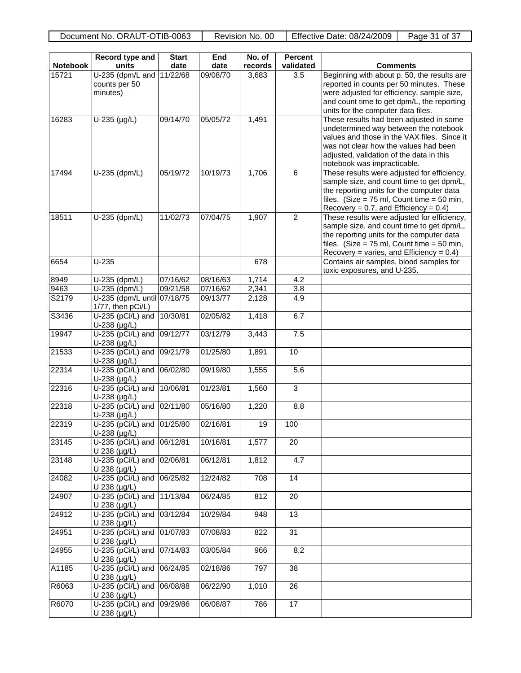| <b>Notebook</b> | Record type and<br>units                           | <b>Start</b> | End      | $\overline{N}$ o. of | <b>Percent</b>  |                                                                                                                                                                                                                                                     |
|-----------------|----------------------------------------------------|--------------|----------|----------------------|-----------------|-----------------------------------------------------------------------------------------------------------------------------------------------------------------------------------------------------------------------------------------------------|
|                 |                                                    | date         | date     | records              | validated       | <b>Comments</b>                                                                                                                                                                                                                                     |
| 15721           | U-235 (dpm/L and<br>counts per 50<br>minutes)      | 11/22/68     | 09/08/70 | 3,683                | 3.5             | Beginning with about p. 50, the results are<br>reported in counts per 50 minutes. These<br>were adjusted for efficiency, sample size,<br>and count time to get dpm/L, the reporting<br>units for the computer data files.                           |
| 16283           | $U-235$ (µg/L)                                     | 09/14/70     | 05/05/72 | 1,491                |                 | These results had been adjusted in some<br>undetermined way between the notebook<br>values and those in the VAX files. Since it<br>was not clear how the values had been<br>adjusted, validation of the data in this<br>notebook was impracticable. |
| 17494           | U-235 (dpm/L)                                      | 05/19/72     | 10/19/73 | 1,706                | 6               | These results were adjusted for efficiency,<br>sample size, and count time to get dpm/L,<br>the reporting units for the computer data<br>files. (Size = $75$ ml, Count time = $50$ min,<br>Recovery = 0.7, and Efficiency = $0.4$ )                 |
| 18511           | U-235 (dpm/L)                                      | 11/02/73     | 07/04/75 | 1,907                | $\overline{2}$  | These results were adjusted for efficiency,<br>sample size, and count time to get dpm/L,<br>the reporting units for the computer data<br>files. (Size = $75$ ml, Count time = $50$ min,<br>Recovery = varies, and Efficiency = $0.4$ )              |
| 6654            | $U-235$                                            |              |          | 678                  |                 | Contains air samples, blood samples for<br>toxic exposures, and U-235.                                                                                                                                                                              |
| 8949            | U-235 (dpm/L)                                      | 07/16/62     | 08/16/63 | 1,714                | 4.2             |                                                                                                                                                                                                                                                     |
| 9463            | U-235 (dpm/L)                                      | 09/21/58     | 07/16/62 | 2,341                | 3.8             |                                                                                                                                                                                                                                                     |
| S2179           | U-235 (dpm/L until 07/18/75<br>1/77, then pCi/L)   |              | 09/13/77 | 2,128                | 4.9             |                                                                                                                                                                                                                                                     |
| S3436           | U-235 (pCi/L) and<br>U-238 (µg/L)                  | 10/30/81     | 02/05/82 | 1,418                | 6.7             |                                                                                                                                                                                                                                                     |
| 19947           | U-235 (pCi/L) and<br>$U-238$ (µg/L)                | 09/12/77     | 03/12/79 | 3,443                | 7.5             |                                                                                                                                                                                                                                                     |
| 21533           | U-235 (pCi/L) and<br>U-238 (µg/L)                  | 09/21/79     | 01/25/80 | 1,891                | 10              |                                                                                                                                                                                                                                                     |
| 22314           | U-235 (pCi/L) and<br>$U-238$ (µg/L)                | 06/02/80     | 09/19/80 | 1,555                | 5.6             |                                                                                                                                                                                                                                                     |
| 22316           | U-235 (pCi/L) and<br>U-238 (µg/L)                  | 10/06/81     | 01/23/81 | 1,560                | 3               |                                                                                                                                                                                                                                                     |
| 22318           | U-235 (pCi/L) and<br>$U-238$ ( $\mu$ g/L)          | 02/11/80     | 05/16/80 | 1,220                | 8.8             |                                                                                                                                                                                                                                                     |
| 22319           | U-235 (pCi/L) and<br>U-238 (µg/L)                  | 01/25/80     | 02/16/81 | 19                   | 100             |                                                                                                                                                                                                                                                     |
| 23145           | U-235 (pCi/L) and 06/12/81<br>$U$ 238 ( $\mu$ g/L) |              | 10/16/81 | 1,577                | 20              |                                                                                                                                                                                                                                                     |
| 23148           | U-235 (pCi/L) and<br>$U$ 238 ( $\mu$ g/L)          | 02/06/81     | 06/12/81 | 1,812                | 4.7             |                                                                                                                                                                                                                                                     |
| 24082           | U-235 (pCi/L) and<br>U 238 (µg/L)                  | 06/25/82     | 12/24/82 | 708                  | $\overline{14}$ |                                                                                                                                                                                                                                                     |
| 24907           | U-235 (pCi/L) and<br>$U$ 238 ( $\mu$ g/L)          | 11/13/84     | 06/24/85 | 812                  | 20              |                                                                                                                                                                                                                                                     |
| 24912           | U-235 (pCi/L) and<br>U 238 (µg/L)                  | 03/12/84     | 10/29/84 | 948                  | 13              |                                                                                                                                                                                                                                                     |
| 24951           | U-235 (pCi/L) and<br>U 238 (µg/L)                  | 01/07/83     | 07/08/83 | 822                  | 31              |                                                                                                                                                                                                                                                     |
| 24955           | U-235 (pCi/L) and 07/14/83<br>U 238 (µg/L)         |              | 03/05/84 | 966                  | 8.2             |                                                                                                                                                                                                                                                     |
| A1185           | U-235 (pCi/L) and<br>U 238 (µg/L)                  | 06/24/85     | 02/18/86 | 797                  | 38              |                                                                                                                                                                                                                                                     |
| R6063           | U-235 (pCi/L) and<br>U 238 (µg/L)                  | 06/08/88     | 06/22/90 | 1,010                | 26              |                                                                                                                                                                                                                                                     |
| R6070           | U-235 (pCi/L) and<br>$U$ 238 ( $\mu$ g/L)          | 09/29/86     | 06/08/87 | 786                  | 17              |                                                                                                                                                                                                                                                     |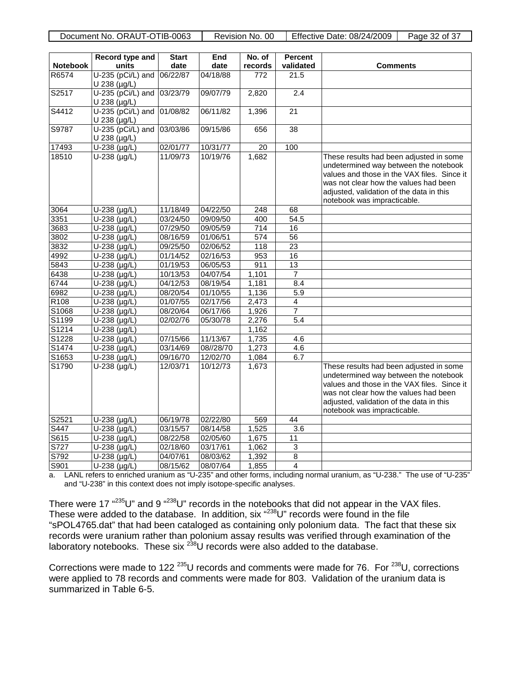Document No. ORAUT-OTIB-0063 Revision No. 00 Fifective Date: 08/24/2009 Page 32 of 37

| <b>Notebook</b>  | Record type and<br>units                   | <b>Start</b><br>date | End<br>date | No. of           | <b>Percent</b><br>validated |                                                                                                                                                                                                                                                     |
|------------------|--------------------------------------------|----------------------|-------------|------------------|-----------------------------|-----------------------------------------------------------------------------------------------------------------------------------------------------------------------------------------------------------------------------------------------------|
| R6574            | U-235 (pCi/L) and                          | 06/22/87             | 04/18/88    | records          | 21.5                        | <b>Comments</b>                                                                                                                                                                                                                                     |
|                  | U 238 (µg/L)                               |                      |             | 772              |                             |                                                                                                                                                                                                                                                     |
| S2517            | $U-235$ (pCi/L) and<br>U 238 (µg/L)        | 03/23/79             | 09/07/79    | 2,820            | 2.4                         |                                                                                                                                                                                                                                                     |
| S4412            | U-235 (pCi/L) and 01/08/82<br>U 238 (µg/L) |                      | 06/11/82    | 1,396            | $\overline{21}$             |                                                                                                                                                                                                                                                     |
| S9787            | U-235 (pCi/L) and<br>U 238 (µg/L)          | 03/03/86             | 09/15/86    | 656              | $\overline{38}$             |                                                                                                                                                                                                                                                     |
| 17493            | $U-238$ (µg/L)                             | 02/01/77             | 10/31/77    | $\overline{20}$  | 100                         |                                                                                                                                                                                                                                                     |
| 18510            | U-238 (µg/L)                               | 11/09/73             | 10/19/76    | 1,682            |                             | These results had been adjusted in some<br>undetermined way between the notebook<br>values and those in the VAX files. Since it<br>was not clear how the values had been<br>adjusted, validation of the data in this<br>notebook was impracticable. |
| 3064             | U-238 (µg/L)                               | 11/18/49             | 04/22/50    | $\overline{248}$ | 68                          |                                                                                                                                                                                                                                                     |
| 3351             | U-238 (µg/L)                               | 03/24/50             | 09/09/50    | 400              | 54.5                        |                                                                                                                                                                                                                                                     |
| 3683             | U-238 (µg/L)                               | 07/29/50             | 09/05/59    | 714              | $\overline{16}$             |                                                                                                                                                                                                                                                     |
| 3802             | $U-238$ (µg/L)                             | 08/16/59             | 01/06/51    | 574              | 56                          |                                                                                                                                                                                                                                                     |
| 3832             | $U-238$ (µg/L)                             | 09/25/50             | 02/06/52    | 118              | 23                          |                                                                                                                                                                                                                                                     |
| 4992             | $U-238$ (µg/L)                             | 01/14/52             | 02/16/53    | 953              | 16                          |                                                                                                                                                                                                                                                     |
| 5843             | U-238 (µg/L)                               | 01/19/53             | 06/05/53    | 911              | 13                          |                                                                                                                                                                                                                                                     |
| 6438             | $U-238$ (µg/L)                             | 10/13/53             | 04/07/54    | 1,101            | $\overline{7}$              |                                                                                                                                                                                                                                                     |
| 6744             | $U-238$ (µg/L)                             | 04/12/53             | 08/19/54    | 1,181            | 8.4                         |                                                                                                                                                                                                                                                     |
| 6982             | U-238 (µg/L)                               | 08/20/54             | 01/10/55    | 1,136            | 5.9                         |                                                                                                                                                                                                                                                     |
| R <sub>108</sub> | $U-238$ (µg/L)                             | 01/07/55             | 02/17/56    | 2,473            | $\overline{4}$              |                                                                                                                                                                                                                                                     |
| S1068            | $U-238$ (µg/L)                             | 08/20/64             | 06/17/66    | 1,926            | 7                           |                                                                                                                                                                                                                                                     |
| S1199            | $U-238$ (µg/L)                             | 02/02/76             | 05/30/78    | 2,276            | 5.4                         |                                                                                                                                                                                                                                                     |
| S1214            | $U-238$ (µg/L)                             |                      |             | 1,162            |                             |                                                                                                                                                                                                                                                     |
| S1228            | $U-238 (\mu g/L)$                          | 07/15/66             | 11/13/67    | 1,735            | 4.6                         |                                                                                                                                                                                                                                                     |
| S1474            | U-238 (µg/L)                               | 03/14/69             | 08//28/70   | 1,273            | 4.6                         |                                                                                                                                                                                                                                                     |
| S1653            | $U-238$ (µg/L)                             | 09/16/70             | 12/02/70    | 1,084            | 6.7                         |                                                                                                                                                                                                                                                     |
| S1790            | U-238 (µg/L)                               | 12/03/71             | 10/12/73    | 1,673            |                             | These results had been adjusted in some<br>undetermined way between the notebook<br>values and those in the VAX files. Since it<br>was not clear how the values had been<br>adjusted, validation of the data in this<br>notebook was impracticable. |
| S2521            | $\overline{U}$ -238 (µg/L)                 | 06/19/78             | 02/22/80    | 569              | 44                          |                                                                                                                                                                                                                                                     |
| S447             | U-238 (µg/L)                               | 03/15/57             | 08/14/58    | 1,525            | $\overline{3.6}$            |                                                                                                                                                                                                                                                     |
| S615             | $U-238$ (µg/L)                             | 08/22/58             | 02/05/60    | 1,675            | 11                          |                                                                                                                                                                                                                                                     |
| S727             | U-238 (µg/L)                               | 02/18/60             | 03/17/61    | 1,062            | $\overline{3}$              |                                                                                                                                                                                                                                                     |
| S792             | $\overline{U-238}$ (µg/L)                  | 04/07/61             | 08/03/62    | 1,392            | $\overline{8}$              |                                                                                                                                                                                                                                                     |
| S901             | $U-238 (\mu g/L)$                          | 08/15/62             | 08/07/64    | 1,855            | $\overline{4}$              |                                                                                                                                                                                                                                                     |

a. LANL refers to enriched uranium as "U-235" and other forms, including normal uranium, as "U-238." The use of "U-235" and "U-238" in this context does not imply isotope-specific analyses.

There were 17  $\cdot^{235}$ U" and 9  $\cdot^{238}$ U" records in the notebooks that did not appear in the VAX files. These were added to the database. In addition, six "<sup>238</sup>U" records were found in the file "sPOL4765.dat" that had been cataloged as containing only polonium data. The fact that these six records were uranium rather than polonium assay results was verified through examination of the laboratory notebooks. These six <sup>238</sup>U records were also added to the database.

Corrections were made to 122<sup>235</sup>U records and comments were made for 76. For <sup>238</sup>U, corrections were applied to 78 records and comments were made for 803. Validation of the uranium data is summarized in Table 6-5.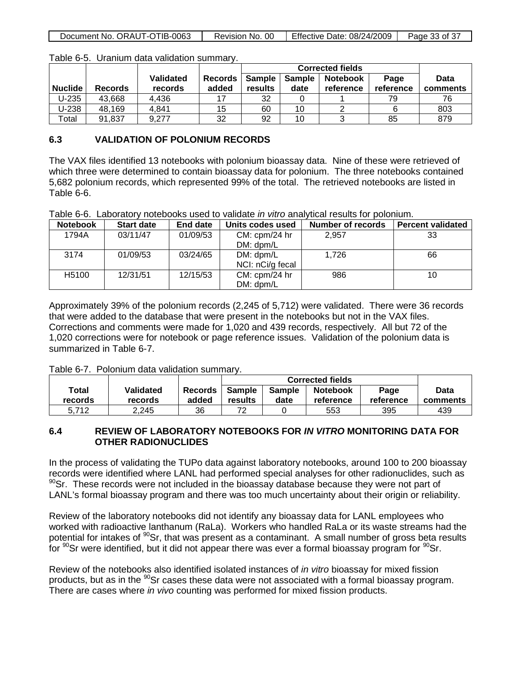| Document No. ORAUT-OTIB-0063 |  | Revision No. 00   Effective Date: 08/24/2009 | Page 33 of 37 |
|------------------------------|--|----------------------------------------------|---------------|
|------------------------------|--|----------------------------------------------|---------------|

|                |                |                  |                | <b>Corrected fields</b> |               |                 |           |             |
|----------------|----------------|------------------|----------------|-------------------------|---------------|-----------------|-----------|-------------|
|                |                | <b>Validated</b> | <b>Records</b> | <b>Sample</b>           | <b>Sample</b> | <b>Notebook</b> | Page      | <b>Data</b> |
| <b>Nuclide</b> | <b>Records</b> | records          | added          | results                 | date          | reference       | reference | comments    |
| $U-235$        | 43,668         | 4.436            |                | 32                      |               |                 | 79        | 76          |
| $U-238$        | 48,169         | 4,841            | 15             | 60                      | 10            |                 |           | 803         |
| ™otal          | 91.837         | 9.277            | 32             | 92                      | 10            |                 | 85        | 879         |

Table 6-5. Uranium data validation summary.

#### **6.3 VALIDATION OF POLONIUM RECORDS**

The VAX files identified 13 notebooks with polonium bioassay data. Nine of these were retrieved of which three were determined to contain bioassay data for polonium. The three notebooks contained 5,682 polonium records, which represented 99% of the total. The retrieved notebooks are listed in Table 6-6.

Table 6-6. Laboratory notebooks used to validate *in vitro* analytical results for polonium.

| <b>Notebook</b>   | <b>Start date</b> | End date | Units codes used              | Number of records | <b>Percent validated</b> |
|-------------------|-------------------|----------|-------------------------------|-------------------|--------------------------|
| 1794A             | 03/11/47          | 01/09/53 | CM: cpm/24 hr<br>DM: dpm/L    | 2,957             | 33                       |
| 3174              | 01/09/53          | 03/24/65 | DM: dpm/L<br>NCI: nCi/g fecal | 1.726             | 66                       |
| H <sub>5100</sub> | 12/31/51          | 12/15/53 | CM: cpm/24 hr<br>DM: dpm/L    | 986               | 10                       |

Approximately 39% of the polonium records (2,245 of 5,712) were validated. There were 36 records that were added to the database that were present in the notebooks but not in the VAX files. Corrections and comments were made for 1,020 and 439 records, respectively. All but 72 of the 1,020 corrections were for notebook or page reference issues. Validation of the polonium data is summarized in Table 6-7.

Table 6-7. Polonium data validation summary.

|                  |                             |                  | <b>Corrected fields</b> |                |                              |                   |                  |
|------------------|-----------------------------|------------------|-------------------------|----------------|------------------------------|-------------------|------------------|
| Total<br>records | <b>Validated</b><br>records | Records<br>added | Sample<br>results       | Sample<br>date | <b>Notebook</b><br>reference | Page<br>reference | Data<br>comments |
| 5.712            | 2.245                       | 36               | 72                      |                | 553                          | 395               | 439              |

#### **6.4 REVIEW OF LABORATORY NOTEBOOKS FOR** *IN VITRO* **MONITORING DATA FOR OTHER RADIONUCLIDES**

In the process of validating the TUPo data against laboratory notebooks, around 100 to 200 bioassay records were identified where LANL had performed special analyses for other radionuclides, such as  $90$ Sr. These records were not included in the bioassay database because they were not part of LANL's formal bioassay program and there was too much uncertainty about their origin or reliability.

Review of the laboratory notebooks did not identify any bioassay data for LANL employees who worked with radioactive lanthanum (RaLa). Workers who handled RaLa or its waste streams had the potential for intakes of <sup>90</sup>Sr, that was present as a contaminant. A small number of gross beta results for  $90$ Sr were identified, but it did not appear there was ever a formal bioassay program for  $90$ Sr.

Review of the notebooks also identified isolated instances of *in vitro* bioassay for mixed fission products, but as in the <sup>90</sup>Sr cases these data were not associated with a formal bioassay program. There are cases where *in vivo* counting was performed for mixed fission products.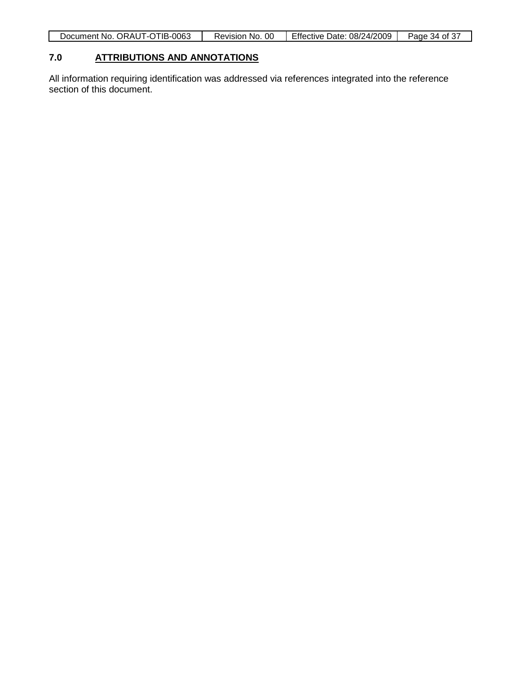| Document No. ORAUT-OTIB-0063 | Revision No. 00 | Effective Date: 08/24/2009 | Page 34 of 37 |
|------------------------------|-----------------|----------------------------|---------------|

#### **7.0 ATTRIBUTIONS AND ANNOTATIONS**

All information requiring identification was addressed via references integrated into the reference section of this document.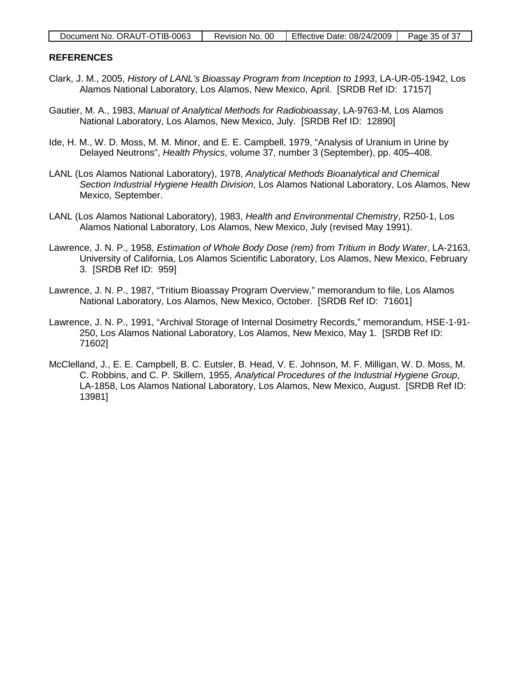| Document No. ORAUT-OTIB-0063 |  | Revision No. 00 Fffective Date: $08/24/2009$   Page 35 of 37 |  |
|------------------------------|--|--------------------------------------------------------------|--|
|------------------------------|--|--------------------------------------------------------------|--|

#### **REFERENCES**

- Clark, J. M., 2005, *History of LANL's Bioassay Program from Inception to 1993*, LA-UR-05-1942, Los Alamos National Laboratory, Los Alamos, New Mexico, April. [SRDB Ref ID: 17157]
- Gautier, M. A., 1983, *Manual of Analytical Methods for Radiobioassay*, LA-9763-M, Los Alamos National Laboratory, Los Alamos, New Mexico, July. [SRDB Ref ID: 12890]
- Ide, H. M., W. D. Moss, M. M. Minor, and E. E. Campbell, 1979, "Analysis of Uranium in Urine by Delayed Neutrons", *Health Physics*, volume 37, number 3 (September), pp. 405–408.
- LANL (Los Alamos National Laboratory), 1978, *Analytical Methods Bioanalytical and Chemical Section Industrial Hygiene Health Division*, Los Alamos National Laboratory, Los Alamos, New Mexico, September.
- LANL (Los Alamos National Laboratory), 1983, *Health and Environmental Chemistry*, R250-1, Los Alamos National Laboratory, Los Alamos, New Mexico, July (revised May 1991).
- Lawrence, J. N. P., 1958, *Estimation of Whole Body Dose (rem) from Tritium in Body Water*, LA-2163, University of California, Los Alamos Scientific Laboratory, Los Alamos, New Mexico, February 3. [SRDB Ref ID: 959]
- Lawrence, J. N. P., 1987, "Tritium Bioassay Program Overview," memorandum to file, Los Alamos National Laboratory, Los Alamos, New Mexico, October. [SRDB Ref ID: 71601]
- Lawrence, J. N. P., 1991, "Archival Storage of Internal Dosimetry Records," memorandum, HSE-1-91- 250, Los Alamos National Laboratory, Los Alamos, New Mexico, May 1. [SRDB Ref ID: 71602]
- McClelland, J., E. E. Campbell, B. C. Eutsler, B. Head, V. E. Johnson, M. F. Milligan, W. D. Moss, M. C. Robbins, and C. P. Skillern, 1955, *Analytical Procedures of the Industrial Hygiene Group*, LA-1858, Los Alamos National Laboratory, Los Alamos, New Mexico, August. [SRDB Ref ID: 13981]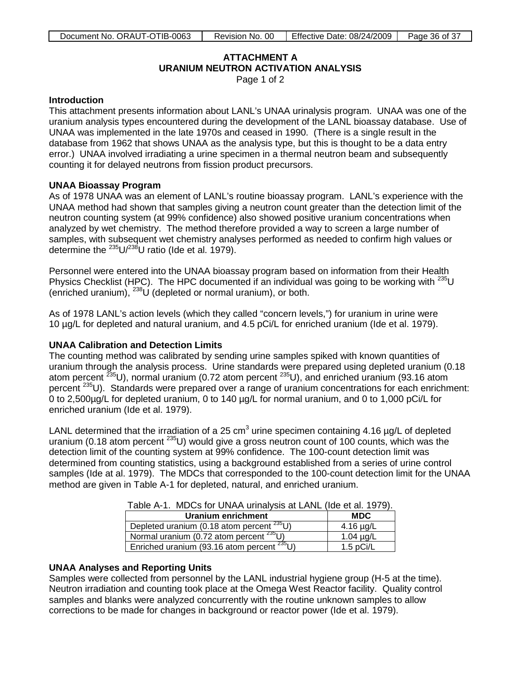# **ATTACHMENT A URANIUM NEUTRON ACTIVATION ANALYSIS**

Page 1 of 2

#### <span id="page-35-0"></span>**Introduction**

This attachment presents information about LANL's UNAA urinalysis program. UNAA was one of the uranium analysis types encountered during the development of the LANL bioassay database. Use of UNAA was implemented in the late 1970s and ceased in 1990. (There is a single result in the database from 1962 that shows UNAA as the analysis type, but this is thought to be a data entry error.) UNAA involved irradiating a urine specimen in a thermal neutron beam and subsequently counting it for delayed neutrons from fission product precursors.

#### **UNAA Bioassay Program**

As of 1978 UNAA was an element of LANL's routine bioassay program. LANL's experience with the UNAA method had shown that samples giving a neutron count greater than the detection limit of the neutron counting system (at 99% confidence) also showed positive uranium concentrations when analyzed by wet chemistry. The method therefore provided a way to screen a large number of samples, with subsequent wet chemistry analyses performed as needed to confirm high values or determine the  $^{235}$ U/ $^{238}$ U ratio (Ide et al. 1979).

Personnel were entered into the UNAA bioassay program based on information from their Health Physics Checklist (HPC). The HPC documented if an individual was going to be working with  $^{235}$ U (enriched uranium), 238U (depleted or normal uranium), or both.

As of 1978 LANL's action levels (which they called "concern levels,") for uranium in urine were 10 µg/L for depleted and natural uranium, and 4.5 pCi/L for enriched uranium (Ide et al. 1979).

### **UNAA Calibration and Detection Limits**

The counting method was calibrated by sending urine samples spiked with known quantities of uranium through the analysis process. Urine standards were prepared using depleted uranium (0.18 atom percent 235U), normal uranium (0.72 atom percent 235U), and enriched uranium (93.16 atom percent <sup>235</sup>U). Standards were prepared over a range of uranium concentrations for each enrichment: 0 to 2,500µg/L for depleted uranium, 0 to 140 µg/L for normal uranium, and 0 to 1,000 pCi/L for enriched uranium (Ide et al. 1979).

LANL determined that the irradiation of a 25 cm<sup>3</sup> urine specimen containing 4.16  $\mu$ g/L of depleted uranium (0.18 atom percent  $^{235}$ U) would give a gross neutron count of 100 counts, which was the detection limit of the counting system at 99% confidence. The 100-count detection limit was determined from counting statistics, using a background established from a series of urine control samples (Ide at al. 1979). The MDCs that corresponded to the 100-count detection limit for the UNAA method are given in Table A-1 for depleted, natural, and enriched uranium.

|  | Table A-1. MDCs for UNAA urinalysis at LANL (Ide et al. 1979). |  |
|--|----------------------------------------------------------------|--|
|  |                                                                |  |

| Uranium enrichment                              | <b>MDC</b>     |
|-------------------------------------------------|----------------|
| Depleted uranium (0.18 atom percent $^{235}$ U) | 4.16 $\mu$ g/L |
| Normal uranium (0.72 atom percent $^{235}$ U)   | 1.04 $\mu$ g/L |
| Enriched uranium (93.16 atom percent $235$ U)   | 1.5 $pCi/L$    |

### **UNAA Analyses and Reporting Units**

Samples were collected from personnel by the LANL industrial hygiene group (H-5 at the time). Neutron irradiation and counting took place at the Omega West Reactor facility. Quality control samples and blanks were analyzed concurrently with the routine unknown samples to allow corrections to be made for changes in background or reactor power (Ide et al. 1979).